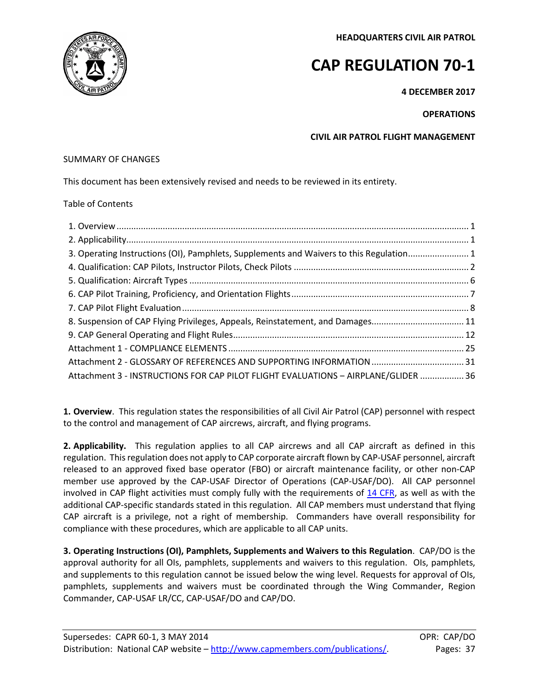**HEADQUARTERS CIVIL AIR PATROL**



# **CAP REGULATION 70-1**

**4 DECEMBER 2017**

# **OPERATIONS**

**CIVIL AIR PATROL FLIGHT MANAGEMENT**

# SUMMARY OF CHANGES

This document has been extensively revised and needs to be reviewed in its entirety.

# Table of Contents

| 3. Operating Instructions (OI), Pamphlets, Supplements and Waivers to this Regulation 1 |  |
|-----------------------------------------------------------------------------------------|--|
|                                                                                         |  |
|                                                                                         |  |
|                                                                                         |  |
|                                                                                         |  |
| 8. Suspension of CAP Flying Privileges, Appeals, Reinstatement, and Damages11           |  |
|                                                                                         |  |
|                                                                                         |  |
|                                                                                         |  |
| Attachment 3 - INSTRUCTIONS FOR CAP PILOT FLIGHT EVALUATIONS - AIRPLANE/GLIDER  36      |  |

<span id="page-0-0"></span>**1. Overview**. This regulation states the responsibilities of all Civil Air Patrol (CAP) personnel with respect to the control and management of CAP aircrews, aircraft, and flying programs.

<span id="page-0-1"></span>**2. Applicability.** This regulation applies to all CAP aircrews and all CAP aircraft as defined in this regulation. This regulation does not apply to CAP corporate aircraft flown by CAP-USAF personnel, aircraft released to an approved fixed base operator (FBO) or aircraft maintenance facility, or other non-CAP member use approved by the CAP-USAF Director of Operations (CAP-USAF/DO). All CAP personnel involved in CAP flight activities must comply fully with the requirements of  $14$  CFR, as well as with the additional CAP-specific standards stated in this regulation. All CAP members must understand that flying CAP aircraft is a privilege, not a right of membership. Commanders have overall responsibility for compliance with these procedures, which are applicable to all CAP units.

<span id="page-0-2"></span>**3. Operating Instructions (OI), Pamphlets, Supplements and Waivers to this Regulation**. CAP/DO is the approval authority for all OIs, pamphlets, supplements and waivers to this regulation. OIs, pamphlets, and supplements to this regulation cannot be issued below the wing level. Requests for approval of OIs, pamphlets, supplements and waivers must be coordinated through the Wing Commander, Region Commander, CAP-USAF LR/CC, CAP-USAF/DO and CAP/DO.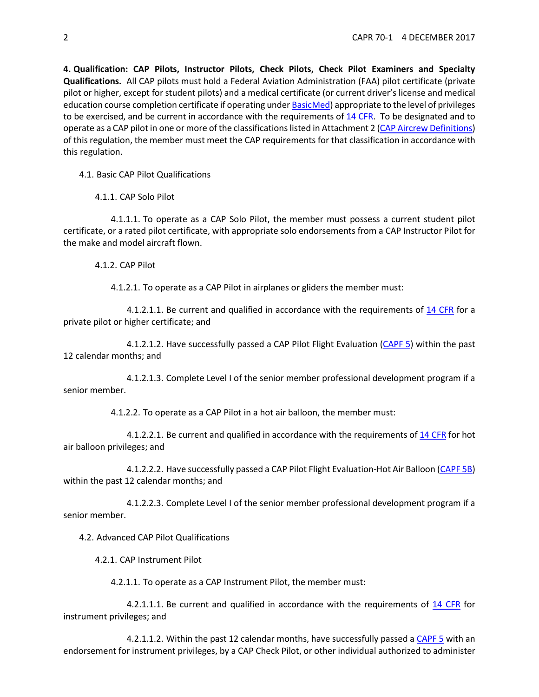<span id="page-1-0"></span>**4. Qualification: CAP Pilots, Instructor Pilots, Check Pilots, Check Pilot Examiners and Specialty Qualifications.** All CAP pilots must hold a Federal Aviation Administration (FAA) pilot certificate (private pilot or higher, except for student pilots) and a medical certificate (or current driver's license and medical education course completion certificate if operating unde[r BasicMed\)](https://www.faa.gov/licenses_certificates/airmen_certification/basic_med/) appropriate to the level of privileges to be exercised, and be current in accordance with the requirements o[f 14 CFR.](http://www.ecfr.gov/cgi-bin/text-idx?c=ecfr&tpl=/ecfrbrowse/Title14/14tab_02.tpl) To be designated and to operate as a CAP pilot in one or more of the classifications listed in Attachment 2 [\(CAP Aircrew Definitions\)](#page-32-0) of this regulation, the member must meet the CAP requirements for that classification in accordance with this regulation.

4.1. Basic CAP Pilot Qualifications

4.1.1. CAP Solo Pilot

4.1.1.1. To operate as a CAP Solo Pilot, the member must possess a current student pilot certificate, or a rated pilot certificate, with appropriate solo endorsements from a CAP Instructor Pilot for the make and model aircraft flown.

4.1.2. CAP Pilot

4.1.2.1. To operate as a CAP Pilot in airplanes or gliders the member must:

4.1.2.1.1. Be current and qualified in accordance with the requirements of [14 CFR](http://www.ecfr.gov/cgi-bin/text-idx?c=ecfr&tpl=/ecfrbrowse/Title14/14tab_02.tpl) for a private pilot or higher certificate; and

4.1.2.1.2. Have successfully passed a CAP Pilot Flight Evaluation [\(CAPF 5\)](https://www.capmembers.com/media/cms/F005_307D79BCBF52D.pdf) within the past 12 calendar months; and

4.1.2.1.3. Complete Level I of the senior member professional development program if a senior member.

4.1.2.2. To operate as a CAP Pilot in a hot air balloon, the member must:

4.1.2.2.1. Be current and qualified in accordance with the requirements o[f 14 CFR](http://www.ecfr.gov/cgi-bin/text-idx?c=ecfr&tpl=/ecfrbrowse/Title14/14tab_02.tpl) for hot air balloon privileges; and

4.1.2.2.2. Have successfully passed a CAP Pilot Flight Evaluation-Hot Air Balloon [\(CAPF 5B\)](https://www.capmembers.com/media/cms/F005B_802478EE09D2A.pdf) within the past 12 calendar months; and

4.1.2.2.3. Complete Level I of the senior member professional development program if a senior member.

4.2. Advanced CAP Pilot Qualifications

4.2.1. CAP Instrument Pilot

4.2.1.1. To operate as a CAP Instrument Pilot, the member must:

4.2.1.1.1.1. Be current and qualified in accordance with the requirements of [14 CFR](http://www.ecfr.gov/cgi-bin/text-idx?c=ecfr&tpl=/ecfrbrowse/Title14/14tab_02.tpl) for instrument privileges; and

4.2.1.1.2. Within the past 12 calendar months, have successfully passed [a CAPF 5](https://www.capmembers.com/media/cms/F005_307D79BCBF52D.pdf) with an endorsement for instrument privileges, by a CAP Check Pilot, or other individual authorized to administer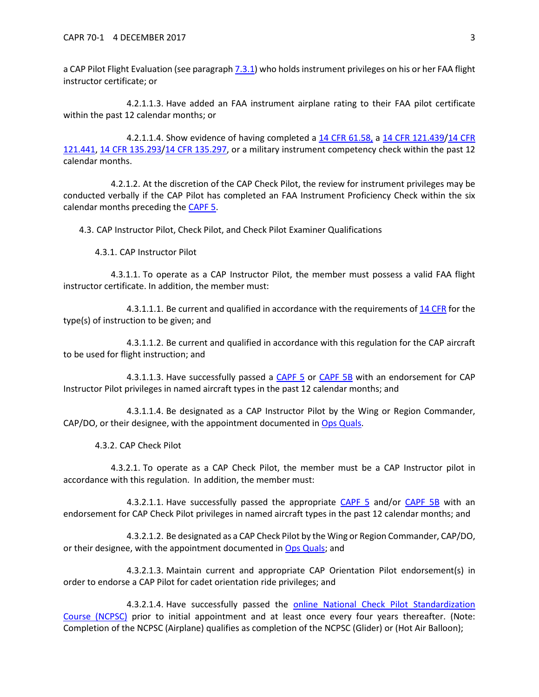a CAP Pilot Flight Evaluation (see paragraph [7.3.1\)](#page-9-0) who holds instrument privileges on his or her FAA flight instructor certificate; or

4.2.1.1.3. Have added an FAA instrument airplane rating to their FAA pilot certificate within the past 12 calendar months; or

4.2.1.1.4. Show evidence of having completed a [14 CFR 61.58,](http://www.ecfr.gov/cgi-bin/text-idx?c=ecfr&sid=40760189a03dfea0b501608f33820a45&rgn=div5&view=text&node=14:2.0.1.1.2&idno=14#se14.2.61_158) a [14 CFR 121.439/](http://www.ecfr.gov/cgi-bin/text-idx?SID=d73630c7e8c409039c33fbeb4735831d&mc=true&node=se14.3.121_1439&rgn=div8)[14 CFR](http://www.ecfr.gov/cgi-bin/text-idx?SID=d73630c7e8c409039c33fbeb4735831d&mc=true&node=se14.3.121_1441&rgn=div8)  [121.441,](http://www.ecfr.gov/cgi-bin/text-idx?SID=d73630c7e8c409039c33fbeb4735831d&mc=true&node=se14.3.121_1441&rgn=div8) [14 CFR 135.293](http://www.ecfr.gov/cgi-bin/text-idx?SID=d73630c7e8c409039c33fbeb4735831d&mc=true&node=pt14.3.135&rgn=div5#se14.3.135_1293)[/14 CFR 135.297,](http://www.ecfr.gov/cgi-bin/text-idx?SID=d73630c7e8c409039c33fbeb4735831d&mc=true&node=pt14.3.135&rgn=div5#se14.3.135_1297) or a military instrument competency check within the past 12 calendar months.

4.2.1.2. At the discretion of the CAP Check Pilot, the review for instrument privileges may be conducted verbally if the CAP Pilot has completed an FAA Instrument Proficiency Check within the six calendar months preceding the [CAPF 5.](https://www.capmembers.com/media/cms/F005_307D79BCBF52D.pdf)

4.3. CAP Instructor Pilot, Check Pilot, and Check Pilot Examiner Qualifications

4.3.1. CAP Instructor Pilot

4.3.1.1. To operate as a CAP Instructor Pilot, the member must possess a valid FAA flight instructor certificate. In addition, the member must:

4.3.1.1.1. Be current and qualified in accordance with the requirements of [14 CFR](http://www.ecfr.gov/cgi-bin/text-idx?c=ecfr&tpl=/ecfrbrowse/Title14/14tab_02.tpl) for the type(s) of instruction to be given; and

4.3.1.1.2. Be current and qualified in accordance with this regulation for the CAP aircraft to be used for flight instruction; and

4.3.1.1.3. Have successfully passed a [CAPF 5](https://www.capmembers.com/media/cms/F005_307D79BCBF52D.pdf) or [CAPF 5B](https://www.capmembers.com/media/cms/F005B_802478EE09D2A.pdf) with an endorsement for CAP Instructor Pilot privileges in named aircraft types in the past 12 calendar months; and

4.3.1.1.4. Be designated as a CAP Instructor Pilot by the Wing or Region Commander, CAP/DO, or their designee, with the appointment documented i[n Ops Quals.](https://www.capnhq.gov/CAP.OPSQuals.Web/Default.aspx)

4.3.2. CAP Check Pilot

4.3.2.1. To operate as a CAP Check Pilot, the member must be a CAP Instructor pilot in accordance with this regulation. In addition, the member must:

4.3.2.1.1. Have successfully passed the appropriate [CAPF 5](https://www.capmembers.com/media/cms/F005_307D79BCBF52D.pdf) and/or [CAPF 5B](https://www.capmembers.com/media/cms/F005B_802478EE09D2A.pdf) with an endorsement for CAP Check Pilot privileges in named aircraft types in the past 12 calendar months; and

4.3.2.1.2. Be designated as a CAP Check Pilot by the Wing or Region Commander, CAP/DO, or their designee, with the appointment documented in [Ops Quals;](https://www.capnhq.gov/CAP.OPSQuals.Web/Default.aspx) and

4.3.2.1.3. Maintain current and appropriate CAP Orientation Pilot endorsement(s) in order to endorse a CAP Pilot for cadet orientation ride privileges; and

4.3.2.1.4. Have successfully passed the [online National Check Pilot](https://www.capnhq.gov/CAP.LMS.Web/Course/course_start.aspx?c=1) Standardization [Course \(NCPSC\)](https://www.capnhq.gov/CAP.LMS.Web/Course/course_start.aspx?c=1) prior to initial appointment and at least once every four years thereafter. (Note: Completion of the NCPSC (Airplane) qualifies as completion of the NCPSC (Glider) or (Hot Air Balloon);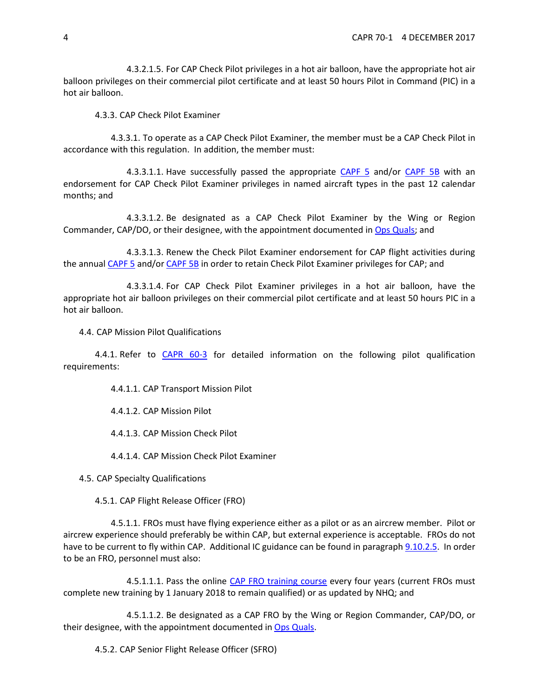4.3.2.1.5. For CAP Check Pilot privileges in a hot air balloon, have the appropriate hot air balloon privileges on their commercial pilot certificate and at least 50 hours Pilot in Command (PIC) in a hot air balloon.

4.3.3. CAP Check Pilot Examiner

4.3.3.1. To operate as a CAP Check Pilot Examiner, the member must be a CAP Check Pilot in accordance with this regulation. In addition, the member must:

4.3.3.1.1. Have successfully passed the appropriate [CAPF 5](https://www.capmembers.com/media/cms/F005_307D79BCBF52D.pdf) and/or [CAPF 5B](https://www.capmembers.com/media/cms/F005B_802478EE09D2A.pdf) with an endorsement for CAP Check Pilot Examiner privileges in named aircraft types in the past 12 calendar months; and

4.3.3.1.2. Be designated as a CAP Check Pilot Examiner by the Wing or Region Commander, CAP/DO, or their designee, with the appointment documented in [Ops Quals;](https://www.capnhq.gov/CAP.OPSQuals.Web/Default.aspx) and

4.3.3.1.3. Renew the Check Pilot Examiner endorsement for CAP flight activities during the annual [CAPF 5](https://www.capmembers.com/media/cms/F005_307D79BCBF52D.pdf) and/or [CAPF 5B](https://www.capmembers.com/media/cms/F005B_802478EE09D2A.pdf) in order to retain Check Pilot Examiner privileges for CAP; and

4.3.3.1.4. For CAP Check Pilot Examiner privileges in a hot air balloon, have the appropriate hot air balloon privileges on their commercial pilot certificate and at least 50 hours PIC in a hot air balloon.

4.4. CAP Mission Pilot Qualifications

4.4.1. Refer to [CAPR 60-3](https://www.capmembers.com/media/cms/R060_003_075A4369FBA8E.pdf) for detailed information on the following pilot qualification requirements:

4.4.1.1. CAP Transport Mission Pilot

4.4.1.2. CAP Mission Pilot

4.4.1.3. CAP Mission Check Pilot

4.4.1.4. CAP Mission Check Pilot Examiner

4.5. CAP Specialty Qualifications

4.5.1. CAP Flight Release Officer (FRO)

<span id="page-3-0"></span>4.5.1.1. FROs must have flying experience either as a pilot or as an aircrew member. Pilot or aircrew experience should preferably be within CAP, but external experience is acceptable. FROs do not have to be current to fly within CAP. Additional IC guidance can be found in paragrap[h 9.10.2.5.](#page-17-0) In order to be an FRO, personnel must also:

4.5.1.1.1. Pass the online [CAP FRO training course](https://www.capnhq.gov/CAP.LMS.Web/Course/course_start.aspx?c=45) every four years (current FROs must complete new training by 1 January 2018 to remain qualified) or as updated by NHQ; and

4.5.1.1.2. Be designated as a CAP FRO by the Wing or Region Commander, CAP/DO, or their designee, with the appointment documented in [Ops Quals.](https://www.capnhq.gov/CAP.OPSQuals.Web/Default.aspx)

4.5.2. CAP Senior Flight Release Officer (SFRO)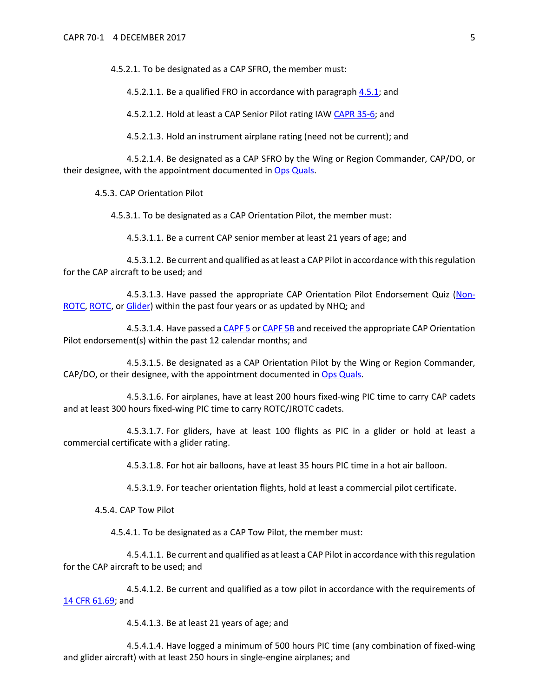4.5.2.1. To be designated as a CAP SFRO, the member must:

4.5.2.1.1. Be a qualified FRO in accordance with paragraph [4.5.1;](#page-3-0) and

4.5.2.1.2. Hold at least a CAP Senior Pilot rating IA[W CAPR 35-6;](https://www.capmembers.com/media/cms/R035_006_70213217D50CA.pdf) and

4.5.2.1.3. Hold an instrument airplane rating (need not be current); and

4.5.2.1.4. Be designated as a CAP SFRO by the Wing or Region Commander, CAP/DO, or their designee, with the appointment documented in [Ops Quals.](https://www.capnhq.gov/CAP.OPSQuals.Web/Default.aspx)

4.5.3. CAP Orientation Pilot

4.5.3.1. To be designated as a CAP Orientation Pilot, the member must:

4.5.3.1.1. Be a current CAP senior member at least 21 years of age; and

4.5.3.1.2. Be current and qualified as at least a CAP Pilot in accordance with this regulation for the CAP aircraft to be used; and

4.5.3.1.3. Have passed the appropriate CAP Orientation Pilot Endorsement Quiz [\(Non-](https://www.capnhq.gov/CAP.LMS.Web/Quiz/quiz_start.aspx?qid=3)[ROTC,](https://www.capnhq.gov/CAP.LMS.Web/Quiz/quiz_start.aspx?qid=3) [ROTC,](https://www.capnhq.gov/CAP.LMS.Web/Quiz/quiz_start.aspx?qid=4) o[r Glider\)](https://www.capnhq.gov/CAP.LMS.Web/Quiz/quiz_start.aspx?qid=192) within the past four years or as updated by NHQ; and

4.5.3.1.4. Have passed a [CAPF 5](https://www.capmembers.com/media/cms/F005_307D79BCBF52D.pdf) o[r CAPF 5B](https://www.capmembers.com/media/cms/F005B_802478EE09D2A.pdf) and received the appropriate CAP Orientation Pilot endorsement(s) within the past 12 calendar months; and

4.5.3.1.5. Be designated as a CAP Orientation Pilot by the Wing or Region Commander, CAP/DO, or their designee, with the appointment documented i[n Ops Quals.](https://www.capnhq.gov/CAP.OPSQuals.Web/Default.aspx)

4.5.3.1.6. For airplanes, have at least 200 hours fixed-wing PIC time to carry CAP cadets and at least 300 hours fixed-wing PIC time to carry ROTC/JROTC cadets.

4.5.3.1.7. For gliders, have at least 100 flights as PIC in a glider or hold at least a commercial certificate with a glider rating.

4.5.3.1.8. For hot air balloons, have at least 35 hours PIC time in a hot air balloon.

4.5.3.1.9. For teacher orientation flights, hold at least a commercial pilot certificate.

4.5.4. CAP Tow Pilot

4.5.4.1. To be designated as a CAP Tow Pilot, the member must:

4.5.4.1.1. Be current and qualified as at least a CAP Pilot in accordance with this regulation for the CAP aircraft to be used; and

4.5.4.1.2. Be current and qualified as a tow pilot in accordance with the requirements of [14 CFR 61.69;](http://www.ecfr.gov/cgi-bin/text-idx?c=ecfr&sid=40760189a03dfea0b501608f33820a45&rgn=div5&view=text&node=14:2.0.1.1.2&idno=14#se14.2.61_169) and

4.5.4.1.3. Be at least 21 years of age; and

4.5.4.1.4. Have logged a minimum of 500 hours PIC time (any combination of fixed-wing and glider aircraft) with at least 250 hours in single-engine airplanes; and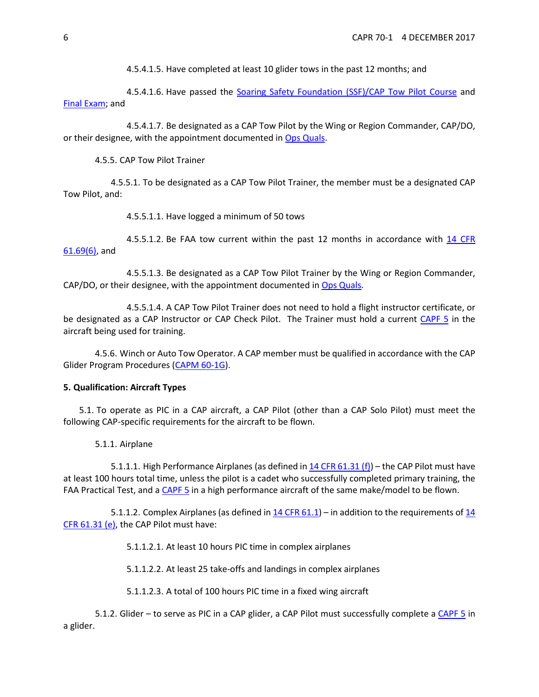4.5.4.1.5. Have completed at least 10 glider tows in the past 12 months; and

4.5.4.1.6. Have passed the [Soaring Safety Foundation \(SSF\)/CAP Tow Pilot Course](http://www.soaringsafety.org/learning/towpilot/towpilot.html) and [Final Exam;](https://www.capnhq.gov/CAP.LMS.Web/Quiz/quiz_start.aspx?qid=189) and

4.5.4.1.7. Be designated as a CAP Tow Pilot by the Wing or Region Commander, CAP/DO, or their designee, with the appointment documented in [Ops Quals.](https://www.capnhq.gov/CAP.OPSQuals.Web/Default.aspx)

4.5.5. CAP Tow Pilot Trainer

4.5.5.1. To be designated as a CAP Tow Pilot Trainer, the member must be a designated CAP Tow Pilot, and:

4.5.5.1.1. Have logged a minimum of 50 tows

4.5.5.1.2. Be FAA tow current within the past 12 months in accordance with [14 CFR](https://www.ecfr.gov/cgi-bin/retrieveECFR?gp&r=PART&n=14y2.0.1.1.2#se14.2.61_169)  [61.69\(6\),](https://www.ecfr.gov/cgi-bin/retrieveECFR?gp&r=PART&n=14y2.0.1.1.2#se14.2.61_169) and

4.5.5.1.3. Be designated as a CAP Tow Pilot Trainer by the Wing or Region Commander, CAP/DO, or their designee, with the appointment documented i[n Ops Quals.](https://www.capnhq.gov/CAP.OPSQuals.Web/Default.aspx)

4.5.5.1.4. A CAP Tow Pilot Trainer does not need to hold a flight instructor certificate, or be designated as a CAP Instructor or CAP Check Pilot. The Trainer must hold a current [CAPF 5](https://www.capmembers.com/media/cms/F005_307D79BCBF52D.pdf) in the aircraft being used for training.

4.5.6. Winch or Auto Tow Operator. A CAP member must be qualified in accordance with the CAP Glider Program Procedures [\(CAPM 60-1G\)](https://www.capmembers.com/media/cms/CAPM060001G_80BC72C96CB5F.pdf).

#### <span id="page-5-0"></span>**5. Qualification: Aircraft Types**

5.1. To operate as PIC in a CAP aircraft, a CAP Pilot (other than a CAP Solo Pilot) must meet the following CAP-specific requirements for the aircraft to be flown.

5.1.1. Airplane

5.1.1.1. High Performance Airplanes (as defined i[n 14 CFR 61.31 \(f\)\)](https://www.ecfr.gov/cgi-bin/retrieveECFR?gp&SID=257acc4699ee7253af775fc7e9492e51&r=PART&n=14y2.0.1.1.2#se14.2.61_131) – the CAP Pilot must have at least 100 hours total time, unless the pilot is a cadet who successfully completed primary training, the FAA Practical Test, and a [CAPF 5](https://www.capmembers.com/media/cms/F005_307D79BCBF52D.pdf) in a high performance aircraft of the same make/model to be flown.

5.1.1.2. Complex Airplanes (as defined in  $14$  CFR 61.1) – in addition to the requirements of  $14$ [CFR 61.31 \(e\),](https://www.ecfr.gov/cgi-bin/retrieveECFR?gp&SID=257acc4699ee7253af775fc7e9492e51&r=PART&n=14y2.0.1.1.2#se14.2.61_131) the CAP Pilot must have:

5.1.1.2.1. At least 10 hours PIC time in complex airplanes

5.1.1.2.2. At least 25 take-offs and landings in complex airplanes

5.1.1.2.3. A total of 100 hours PIC time in a fixed wing aircraft

5.1.2. Glider – to serve as PIC in a CAP glider, a CAP Pilot must successfully complete [a CAPF 5](https://www.capmembers.com/media/cms/F005_307D79BCBF52D.pdf) in a glider.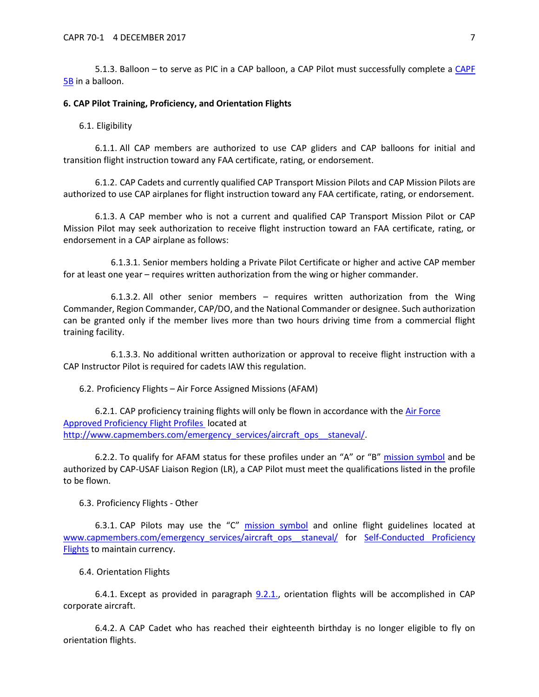5.1.3. Balloon – to serve as PIC in a CAP balloon, a CAP Pilot must successfully complete a [CAPF](https://www.capmembers.com/media/cms/F005B_802478EE09D2A.pdf)  [5B](https://www.capmembers.com/media/cms/F005B_802478EE09D2A.pdf) in a balloon.

#### <span id="page-6-0"></span>**6. CAP Pilot Training, Proficiency, and Orientation Flights**

#### 6.1. Eligibility

6.1.1. All CAP members are authorized to use CAP gliders and CAP balloons for initial and transition flight instruction toward any FAA certificate, rating, or endorsement.

6.1.2. CAP Cadets and currently qualified CAP Transport Mission Pilots and CAP Mission Pilots are authorized to use CAP airplanes for flight instruction toward any FAA certificate, rating, or endorsement.

6.1.3. A CAP member who is not a current and qualified CAP Transport Mission Pilot or CAP Mission Pilot may seek authorization to receive flight instruction toward an FAA certificate, rating, or endorsement in a CAP airplane as follows:

6.1.3.1. Senior members holding a Private Pilot Certificate or higher and active CAP member for at least one year – requires written authorization from the wing or higher commander.

6.1.3.2. All other senior members – requires written authorization from the Wing Commander, Region Commander, CAP/DO, and the National Commander or designee. Such authorization can be granted only if the member lives more than two hours driving time from a commercial flight training facility.

6.1.3.3. No additional written authorization or approval to receive flight instruction with a CAP Instructor Pilot is required for cadets IAW this regulation.

6.2. Proficiency Flights – Air Force Assigned Missions (AFAM)

6.2.1. CAP proficiency training flights will only be flown in accordance with the Air Force [Approved Proficiency Flight Profiles](http://www.capmembers.com/media/cms/Pilot_Proficiency_Profiles_AF_Appro_D76AC441E6A48.pdf) located at http://www.capmembers.com/emergency\_services/aircraft\_ops\_staneval/.

6.2.2. To qualify for AFAM status for these profiles under an "A" or "B" [mission symbol](https://www.capmembers.com/media/cms/07_AIF_FLT_LOG_2_A285ACB8477D5.pdf) and be authorized by CAP-USAF Liaison Region (LR), a CAP Pilot must meet the qualifications listed in the profile to be flown.

6.3. Proficiency Flights - Other

6.3.1. CAP Pilots may use the "C" [mission symbol](https://www.capmembers.com/media/cms/07_AIF_FLT_LOG_2_A285ACB8477D5.pdf) and online flight guidelines located at [www.capmembers.com/emergency\\_services/aircraft\\_ops\\_\\_staneval/](http://www.capmembers.com/emergency_services/aircraft_ops__staneval/) for Self-Conducted Proficiency [Flights](https://www.capmembers.com/media/cms/CAPR_601_SelfConducted_Proficiency__14140B04AFF9E.pdf) to maintain currency.

6.4. Orientation Flights

6.4.1. Except as provided in paragraph  $9.2.1$ , orientation flights will be accomplished in CAP corporate aircraft.

6.4.2. A CAP Cadet who has reached their eighteenth birthday is no longer eligible to fly on orientation flights.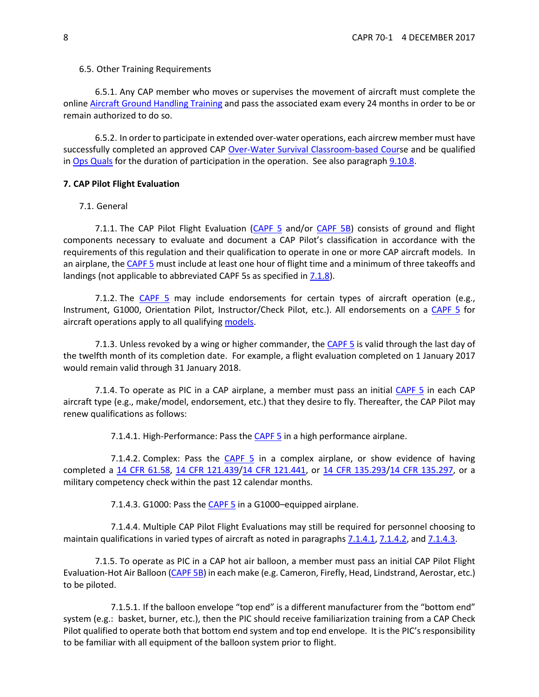#### 6.5. Other Training Requirements

6.5.1. Any CAP member who moves or supervises the movement of aircraft must complete the online [Aircraft Ground Handling Training](https://www.capnhq.gov/CAP.LMS.Web/Course/course_start.aspx?c=32) and pass the associated exam every 24 months in order to be or remain authorized to do so.

<span id="page-7-4"></span>6.5.2. In order to participate in extended over-water operations, each aircrew member must have successfully completed an approved CAP [Over-Water Survival Classroom-based Cours](https://www.capnhq.gov/CAP.LMS.Web/Course/course_start.aspx?c=56)e and be qualified in [Ops Quals](https://www.capnhq.gov/CAP.OPSQuals.Web/Default.aspx) for the duration of participation in the operation. See also paragrap[h 9.10.8.](#page-20-0)

#### <span id="page-7-0"></span>**7. CAP Pilot Flight Evaluation**

#### 7.1. General

7.1.1. The CAP Pilot Flight Evaluation [\(CAPF 5](https://www.capmembers.com/media/cms/F005_307D79BCBF52D.pdf) and/or [CAPF 5B\)](https://www.capmembers.com/media/cms/F005B_802478EE09D2A.pdf) consists of ground and flight components necessary to evaluate and document a CAP Pilot's classification in accordance with the requirements of this regulation and their qualification to operate in one or more CAP aircraft models. In an airplane, the [CAPF 5](https://www.capmembers.com/media/cms/F005_307D79BCBF52D.pdf) must include at least one hour of flight time and a minimum of three takeoffs and landings (not applicable to abbreviated CAPF 5s as specified in  $7.1.8$ ).

7.1.2. The [CAPF 5](https://www.capmembers.com/media/cms/F005_307D79BCBF52D.pdf) may include endorsements for certain types of aircraft operation (e.g., Instrument, G1000, Orientation Pilot, Instructor/Check Pilot, etc.). All endorsements on a [CAPF 5](https://www.capmembers.com/media/cms/F005_307D79BCBF52D.pdf) for aircraft operations apply to all qualifying [models.](#page-8-1)

7.1.3. Unless revoked by a wing or higher commander, the [CAPF 5](https://www.capmembers.com/media/cms/F005_307D79BCBF52D.pdf) is valid through the last day of the twelfth month of its completion date. For example, a flight evaluation completed on 1 January 2017 would remain valid through 31 January 2018.

7.1.4. To operate as PIC in a CAP airplane, a member must pass an initial [CAPF 5](https://www.capmembers.com/media/cms/F005_307D79BCBF52D.pdf) in each CAP aircraft type (e.g., make/model, endorsement, etc.) that they desire to fly. Thereafter, the CAP Pilot may renew qualifications as follows:

7.1.4.1. High-Performance: Pass the [CAPF 5](https://www.capmembers.com/media/cms/F005_307D79BCBF52D.pdf) in a high performance airplane.

<span id="page-7-2"></span><span id="page-7-1"></span>7.1.4.2. Complex: Pass the [CAPF 5](https://www.capmembers.com/media/cms/F005_307D79BCBF52D.pdf) in a complex airplane, or show evidence of having completed a [14 CFR 61.58,](http://www.ecfr.gov/cgi-bin/text-idx?c=ecfr&sid=40760189a03dfea0b501608f33820a45&rgn=div5&view=text&node=14:2.0.1.1.2&idno=14#se14.2.61_158) [14 CFR 121.439](http://www.ecfr.gov/cgi-bin/text-idx?SID=d73630c7e8c409039c33fbeb4735831d&mc=true&node=se14.3.121_1439&rgn=div8)[/14 CFR 121.441,](http://www.ecfr.gov/cgi-bin/text-idx?SID=d73630c7e8c409039c33fbeb4735831d&mc=true&node=se14.3.121_1441&rgn=div8) or [14 CFR 135.293](http://www.ecfr.gov/cgi-bin/text-idx?SID=d73630c7e8c409039c33fbeb4735831d&mc=true&node=pt14.3.135&rgn=div5#se14.3.135_1293)[/14 CFR 135.297,](http://www.ecfr.gov/cgi-bin/text-idx?SID=d73630c7e8c409039c33fbeb4735831d&mc=true&node=pt14.3.135&rgn=div5#se14.3.135_1297) or a military competency check within the past 12 calendar months.

7.1.4.3. G1000: Pass th[e CAPF 5](https://www.capmembers.com/media/cms/F005_307D79BCBF52D.pdf) in a G1000-equipped airplane.

<span id="page-7-3"></span>7.1.4.4. Multiple CAP Pilot Flight Evaluations may still be required for personnel choosing to maintain qualifications in varied types of aircraft as noted in paragraphs [7.1.4.1,](#page-7-1) [7.1.4.2,](#page-7-2) an[d 7.1.4.3.](#page-7-3)

7.1.5. To operate as PIC in a CAP hot air balloon, a member must pass an initial CAP Pilot Flight Evaluation-Hot Air Balloon [\(CAPF 5B\)](https://www.capmembers.com/media/cms/F005B_802478EE09D2A.pdf) in each make (e.g. Cameron, Firefly, Head, Lindstrand, Aerostar, etc.) to be piloted.

7.1.5.1. If the balloon envelope "top end" is a different manufacturer from the "bottom end" system (e.g.: basket, burner, etc.), then the PIC should receive familiarization training from a CAP Check Pilot qualified to operate both that bottom end system and top end envelope. It is the PIC's responsibility to be familiar with all equipment of the balloon system prior to flight.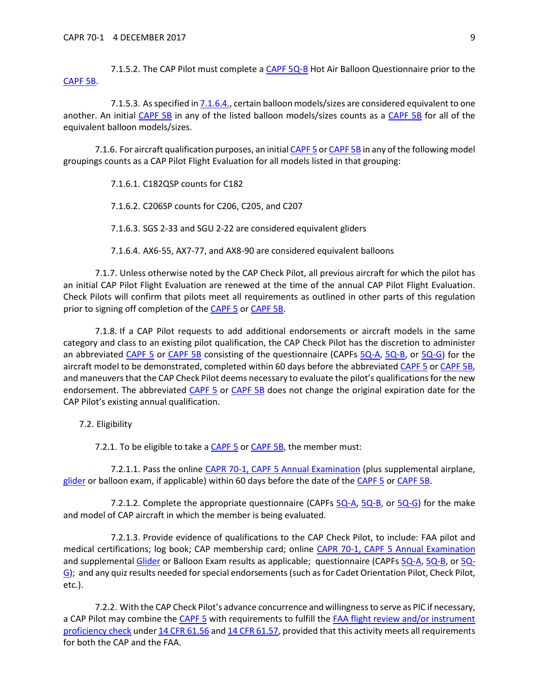7.1.5.2. The CAP Pilot must complete a [CAPF 5Q-B](https://www.capmembers.com/media/cms/F005Q_B_6259910691C4F.pdf) Hot Air Balloon Questionnaire prior to the [CAPF 5B.](https://www.capmembers.com/media/cms/F005B_802478EE09D2A.pdf)

7.1.5.3. As specified i[n 7.1.6.4.,](#page-8-2) certain balloon models/sizes are considered equivalent to one another. An initial [CAPF 5B](https://www.capmembers.com/media/cms/F005B_802478EE09D2A.pdf) in any of the listed balloon models/sizes counts as a [CAPF 5B](https://www.capmembers.com/media/cms/F005B_802478EE09D2A.pdf) for all of the equivalent balloon models/sizes.

<span id="page-8-1"></span>7.1.6. For aircraft qualification purposes, an initia[l CAPF 5](https://www.capmembers.com/media/cms/F005_307D79BCBF52D.pdf) o[r CAPF 5B](https://www.capmembers.com/media/cms/F005B_802478EE09D2A.pdf) in any of the following model groupings counts as a CAP Pilot Flight Evaluation for all models listed in that grouping:

7.1.6.1. C182QSP counts for C182

7.1.6.2. C206SP counts for C206, C205, and C207

7.1.6.3. SGS 2-33 and SGU 2-22 are considered equivalent gliders

7.1.6.4. AX6-55, AX7-77, and AX8-90 are considered equivalent balloons

<span id="page-8-2"></span>7.1.7. Unless otherwise noted by the CAP Check Pilot, all previous aircraft for which the pilot has an initial CAP Pilot Flight Evaluation are renewed at the time of the annual CAP Pilot Flight Evaluation. Check Pilots will confirm that pilots meet all requirements as outlined in other parts of this regulation prior to signing off completion of the [CAPF 5](https://www.capmembers.com/media/cms/F005_307D79BCBF52D.pdf) or [CAPF 5B.](https://www.capmembers.com/media/cms/F005B_802478EE09D2A.pdf)

<span id="page-8-0"></span>7.1.8. If a CAP Pilot requests to add additional endorsements or aircraft models in the same category and class to an existing pilot qualification, the CAP Check Pilot has the discretion to administer an abbreviated [CAPF 5](https://www.capmembers.com/media/cms/F005_307D79BCBF52D.pdf) or [CAPF 5B](https://www.capmembers.com/media/cms/F005B_802478EE09D2A.pdf) consisting of the questionnaire (CAPFs [5Q-A,](https://www.capmembers.com/media/cms/F005Q_A_CE3D5276A7C14.pdf) [5Q-B,](https://www.capmembers.com/media/cms/F005Q_B_6259910691C4F.pdf) or [5Q-G\)](https://www.capmembers.com/media/cms/F005Q_G_74F252F1381E7.pdf) for the aircraft model to be demonstrated, completed within 60 days before the abbreviated [CAPF 5](https://www.capmembers.com/media/cms/F005_307D79BCBF52D.pdf) o[r CAPF 5B,](https://www.capmembers.com/media/cms/F005B_802478EE09D2A.pdf)  and maneuvers that the CAP Check Pilot deems necessary to evaluate the pilot's qualifications for the new endorsement. The abbreviated [CAPF 5](https://www.capmembers.com/media/cms/F005_307D79BCBF52D.pdf) or [CAPF 5B](https://www.capmembers.com/media/cms/F005B_802478EE09D2A.pdf) does not change the original expiration date for the CAP Pilot's existing annual qualification.

7.2. Eligibility

7.2.1. To be eligible to take a **CAPF 5 or CAPF 5B**, the member must:

7.2.1.1. Pass the online [CAPR 70-1, CAPF 5 Annual Examination](https://www.capnhq.gov/CAP.LMS.Web/Quiz/quiz_start.aspx?qid=1) (plus supplemental airplane, [glider](https://www.capnhq.gov/CAP.LMS.Web/Quiz/quiz_start.aspx?qid=2) or balloon exam, if applicable) within 60 days before the date of th[e CAPF 5](https://www.capmembers.com/media/cms/F005_307D79BCBF52D.pdf) or [CAPF 5B.](https://www.capmembers.com/media/cms/F005B_802478EE09D2A.pdf)

7.2.1.2. Complete the appropriate questionnaire (CAPFs [5Q-A,](https://www.capmembers.com/media/cms/F005Q_A_CE3D5276A7C14.pdf) [5Q-B,](https://www.capmembers.com/media/cms/F005Q_B_6259910691C4F.pdf) or [5Q-G\)](https://www.capmembers.com/media/cms/F005Q_G_74F252F1381E7.pdf) for the make and model of CAP aircraft in which the member is being evaluated.

7.2.1.3. Provide evidence of qualifications to the CAP Check Pilot, to include: FAA pilot and medical certifications; log book; CAP membership card; online [CAPR 70-1, CAPF 5 Annual Examination](https://www.capnhq.gov/CAP.LMS.Web/Quiz/quiz_start.aspx?qid=1) and supplemental [Glider](https://www.capnhq.gov/CAP.LMS.Web/Quiz/quiz_start.aspx?qid=2) or Balloon Exam results as applicable; questionnaire (CAPFs [5Q-A,](https://www.capmembers.com/media/cms/F005Q_A_CE3D5276A7C14.pdf) [5Q-B,](https://www.capmembers.com/media/cms/F005Q_B_6259910691C4F.pdf) o[r 5Q-](https://www.capmembers.com/media/cms/F005Q_G_74F252F1381E7.pdf)[G\)](https://www.capmembers.com/media/cms/F005Q_G_74F252F1381E7.pdf); and any quiz results needed for special endorsements(such as for Cadet Orientation Pilot, Check Pilot, etc.).

<span id="page-8-3"></span>7.2.2. With the CAP Check Pilot's advance concurrence and willingness to serve as PIC if necessary, a CAP Pilot may combine the [CAPF 5](https://www.capmembers.com/media/cms/F005_307D79BCBF52D.pdf) with requirements to fulfill the FAA flight review and/or instrument [proficiency check](https://www.faa.gov/regulations_policies/advisory_circulars/index.cfm/go/document.information/documentID/1028650) unde[r 14 CFR 61.56](https://www.ecfr.gov/cgi-bin/retrieveECFR?gp&r=PART&n=14y2.0.1.1.2#se14.2.61_156) and [14 CFR 61.57,](https://www.ecfr.gov/cgi-bin/retrieveECFR?gp&r=PART&n=14y2.0.1.1.2#se14.2.61_157) provided that this activity meets all requirements for both the CAP and the FAA.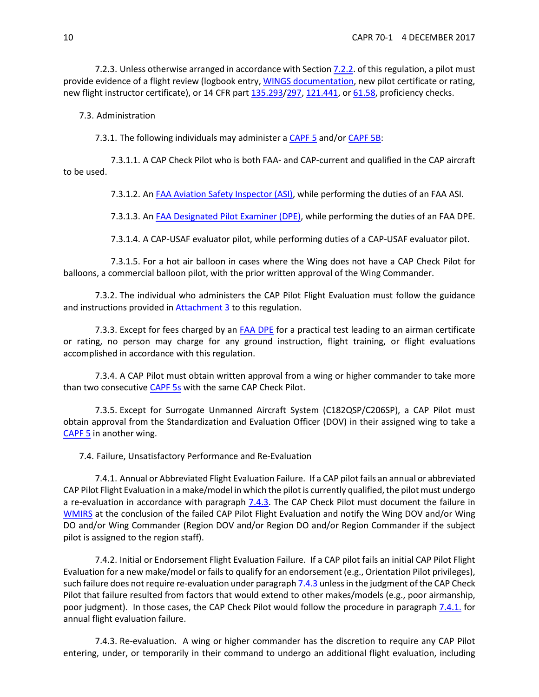7.2.3. Unless otherwise arranged in accordance with Section [7.2.2.](#page-8-3) of this regulation, a pilot must provide evidence of a flight review (logbook entry, [WINGS documentation,](http://www.airweb.faa.gov/Regulatory_and_Guidance_Library/rgAdvisoryCircular.nsf/0/9e3e97f6e4d841d98625783f004f1159/$FILE/AC%2061-91J.pdf) new pilot certificate or rating, new flight instructor certificate), or 14 CFR part [135.293/](http://www.ecfr.gov/cgi-bin/text-idx?SID=d73630c7e8c409039c33fbeb4735831d&mc=true&node=pt14.3.135&rgn=div5#se14.3.135_1293)[297,](http://www.ecfr.gov/cgi-bin/text-idx?SID=d73630c7e8c409039c33fbeb4735831d&mc=true&node=pt14.3.135&rgn=div5#se14.3.135_1297) [121.441,](http://www.ecfr.gov/cgi-bin/text-idx?SID=d73630c7e8c409039c33fbeb4735831d&mc=true&node=pt14.3.121&rgn=div5#se14.3.121_1441) o[r 61.58,](http://www.ecfr.gov/cgi-bin/text-idx?SID=d73630c7e8c409039c33fbeb4735831d&mc=true&node=pt14.2.61&rgn=div5#se14.2.61_158) proficiency checks.

7.3. Administration

7.3.1. The following individuals may administer a [CAPF 5](https://www.capmembers.com/media/cms/F005_307D79BCBF52D.pdf) and/o[r CAPF 5B:](https://www.capmembers.com/media/cms/F005B_802478EE09D2A.pdf)

<span id="page-9-0"></span>7.3.1.1. A CAP Check Pilot who is both FAA- and CAP-current and qualified in the CAP aircraft to be used.

7.3.1.2. An [FAA Aviation Safety Inspector \(ASI\),](https://www.faa.gov/jobs/career_fields/aviation_careers/media/ASI_Fact_Sheet.pdf) while performing the duties of an FAA ASI.

7.3.1.3. An [FAA Designated Pilot Examiner \(DPE\),](https://www.faa.gov/other_visit/aviation_industry/designees_delegations/designee_types/dpe/) while performing the duties of an FAA DPE.

7.3.1.4. A CAP-USAF evaluator pilot, while performing duties of a CAP-USAF evaluator pilot.

7.3.1.5. For a hot air balloon in cases where the Wing does not have a CAP Check Pilot for balloons, a commercial balloon pilot, with the prior written approval of the Wing Commander.

7.3.2. The individual who administers the CAP Pilot Flight Evaluation must follow the guidance and instructions provided in **Attachment 3** to this regulation.

7.3.3. Except for fees charged by an [FAA DPE](https://www.faa.gov/other_visit/aviation_industry/designees_delegations/designee_types/dpe/) for a practical test leading to an airman certificate or rating, no person may charge for any ground instruction, flight training, or flight evaluations accomplished in accordance with this regulation.

7.3.4. A CAP Pilot must obtain written approval from a wing or higher commander to take more than two consecutive [CAPF 5s](https://www.capmembers.com/media/cms/F005_307D79BCBF52D.pdf) with the same CAP Check Pilot.

7.3.5. Except for Surrogate Unmanned Aircraft System (C182QSP/C206SP), a CAP Pilot must obtain approval from the Standardization and Evaluation Officer (DOV) in their assigned wing to take a [CAPF 5](https://www.capmembers.com/media/cms/F005_307D79BCBF52D.pdf) in another wing.

7.4. Failure, Unsatisfactory Performance and Re-Evaluation

<span id="page-9-2"></span>7.4.1. Annual or Abbreviated Flight Evaluation Failure. If a CAP pilot fails an annual or abbreviated CAP Pilot Flight Evaluation in a make/model in which the pilot is currently qualified, the pilot must undergo a re-evaluation in accordance with paragraph [7.4.3.](#page-9-1) The CAP Check Pilot must document the failure in [WMIRS](https://www.capnhq.gov/WMIRS/Default.aspx) at the conclusion of the failed CAP Pilot Flight Evaluation and notify the Wing DOV and/or Wing DO and/or Wing Commander (Region DOV and/or Region DO and/or Region Commander if the subject pilot is assigned to the region staff).

7.4.2. Initial or Endorsement Flight Evaluation Failure. If a CAP pilot fails an initial CAP Pilot Flight Evaluation for a new make/model or fails to qualify for an endorsement (e.g., Orientation Pilot privileges), such failure does not require re-evaluation under paragrap[h 7.4.3](#page-9-1) unless in the judgment of the CAP Check Pilot that failure resulted from factors that would extend to other makes/models (e.g., poor airmanship, poor judgment). In those cases, the CAP Check Pilot would follow the procedure in paragraph [7.4.1.](#page-9-2) for annual flight evaluation failure.

<span id="page-9-1"></span>7.4.3. Re-evaluation. A wing or higher commander has the discretion to require any CAP Pilot entering, under, or temporarily in their command to undergo an additional flight evaluation, including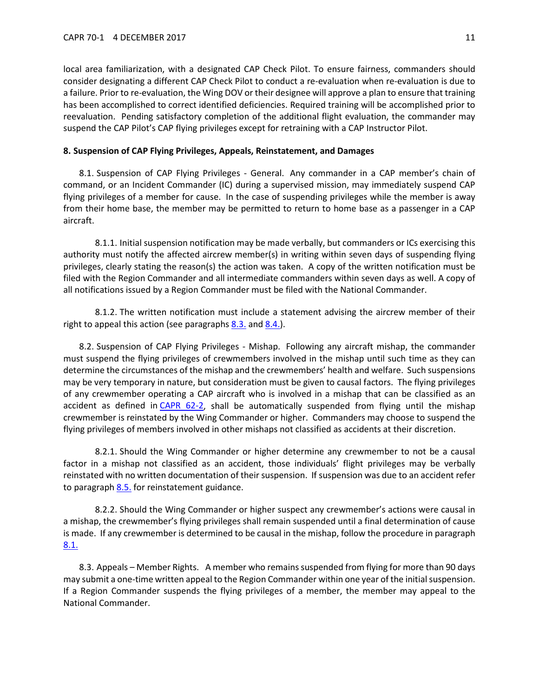local area familiarization, with a designated CAP Check Pilot. To ensure fairness, commanders should consider designating a different CAP Check Pilot to conduct a re-evaluation when re-evaluation is due to a failure. Prior to re-evaluation, the Wing DOV or their designee will approve a plan to ensure that training has been accomplished to correct identified deficiencies. Required training will be accomplished prior to reevaluation. Pending satisfactory completion of the additional flight evaluation, the commander may suspend the CAP Pilot's CAP flying privileges except for retraining with a CAP Instructor Pilot.

#### <span id="page-10-0"></span>**8. Suspension of CAP Flying Privileges, Appeals, Reinstatement, and Damages**

<span id="page-10-2"></span>8.1. Suspension of CAP Flying Privileges - General. Any commander in a CAP member's chain of command, or an Incident Commander (IC) during a supervised mission, may immediately suspend CAP flying privileges of a member for cause. In the case of suspending privileges while the member is away from their home base, the member may be permitted to return to home base as a passenger in a CAP aircraft.

8.1.1. Initial suspension notification may be made verbally, but commanders or ICs exercising this authority must notify the affected aircrew member(s) in writing within seven days of suspending flying privileges, clearly stating the reason(s) the action was taken. A copy of the written notification must be filed with the Region Commander and all intermediate commanders within seven days as well. A copy of all notifications issued by a Region Commander must be filed with the National Commander.

8.1.2. The written notification must include a statement advising the aircrew member of their right to appeal this action (see paragraphs  $8.3$ . and  $8.4$ .).

8.2. Suspension of CAP Flying Privileges - Mishap. Following any aircraft mishap, the commander must suspend the flying privileges of crewmembers involved in the mishap until such time as they can determine the circumstances of the mishap and the crewmembers' health and welfare. Such suspensions may be very temporary in nature, but consideration must be given to causal factors. The flying privileges of any crewmember operating a CAP aircraft who is involved in a mishap that can be classified as an accident as defined in [CAPR 62-2,](https://www.capmembers.com/media/cms/R062_002_211E97E99C6A4.pdf) shall be automatically suspended from flying until the mishap crewmember is reinstated by the Wing Commander or higher. Commanders may choose to suspend the flying privileges of members involved in other mishaps not classified as accidents at their discretion.

8.2.1. Should the Wing Commander or higher determine any crewmember to not be a causal factor in a mishap not classified as an accident, those individuals' flight privileges may be verbally reinstated with no written documentation of their suspension. If suspension was due to an accident refer to paragraph  $8.5.$  for reinstatement guidance.

8.2.2. Should the Wing Commander or higher suspect any crewmember's actions were causal in a mishap, the crewmember's flying privileges shall remain suspended until a final determination of cause is made. If any crewmember is determined to be causal in the mishap, follow the procedure in paragraph [8.1.](#page-10-2) 

<span id="page-10-1"></span>8.3. Appeals – Member Rights. A member who remains suspended from flying for more than 90 days may submit a one-time written appeal to the Region Commander within one year of the initial suspension. If a Region Commander suspends the flying privileges of a member, the member may appeal to the National Commander.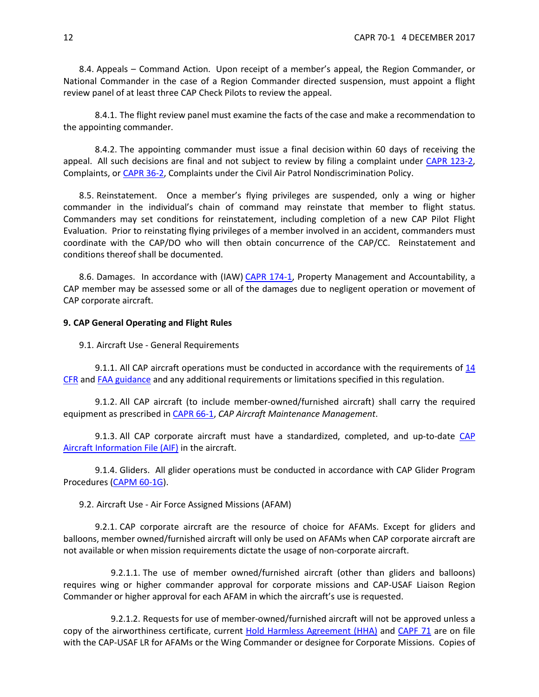<span id="page-11-2"></span>8.4. Appeals – Command Action. Upon receipt of a member's appeal, the Region Commander, or National Commander in the case of a Region Commander directed suspension, must appoint a flight review panel of at least three CAP Check Pilots to review the appeal.

8.4.1. The flight review panel must examine the facts of the case and make a recommendation to the appointing commander.

8.4.2. The appointing commander must issue a final decision within 60 days of receiving the appeal. All such decisions are final and not subject to review by filing a complaint under [CAPR 123-2,](https://www.capmembers.com/media/cms/R123_002_3B7E17A8333CE.pdf)  Complaints, or [CAPR 36-2,](https://www.capmembers.com/media/cms/R036_002_D2CD7C6F4C14A.pdf) Complaints under the Civil Air Patrol Nondiscrimination Policy.

<span id="page-11-3"></span>8.5. Reinstatement. Once a member's flying privileges are suspended, only a wing or higher commander in the individual's chain of command may reinstate that member to flight status. Commanders may set conditions for reinstatement, including completion of a new CAP Pilot Flight Evaluation. Prior to reinstating flying privileges of a member involved in an accident, commanders must coordinate with the CAP/DO who will then obtain concurrence of the CAP/CC. Reinstatement and conditions thereof shall be documented.

8.6. Damages. In accordance with (IAW[\) CAPR 174-1,](https://www.capmembers.com/media/cms/R174_001_F7C3242683CC7.pdf) Property Management and Accountability, a CAP member may be assessed some or all of the damages due to negligent operation or movement of CAP corporate aircraft.

#### <span id="page-11-0"></span>**9. CAP General Operating and Flight Rules**

9.1. Aircraft Use - General Requirements

9.1.1. All CAP aircraft operations must be conducted in accordance with the requirements of  $14$ [CFR](https://www.ecfr.gov/cgi-bin/text-idx?gp=&SID=&mc=true&tpl=/ecfrbrowse/Title14/14tab_02.tpl) an[d FAA guidance](http://www.faa.gov/) and any additional requirements or limitations specified in this regulation.

9.1.2. All CAP aircraft (to include member-owned/furnished aircraft) shall carry the required equipment as prescribed in [CAPR 66-1,](https://www.capmembers.com/media/cms/R066_001_8067887A28C8C.pdf) *CAP Aircraft Maintenance Management*.

9.1.3. All CAP corporate aircraft must have a standardized, completed, and up-to-date [CAP](http://www.capmembers.com/emergency_services/aircraft_ops__staneval/aif-standardized-cap-aircraft-information-file/)  [Aircraft Information File \(AIF\)](http://www.capmembers.com/emergency_services/aircraft_ops__staneval/aif-standardized-cap-aircraft-information-file/) in the aircraft.

9.1.4. Gliders. All glider operations must be conducted in accordance with CAP Glider Program Procedures [\(CAPM 60-1G\)](https://www.capmembers.com/media/cms/CAPM060001G_80BC72C96CB5F.pdf).

9.2. Aircraft Use - Air Force Assigned Missions (AFAM)

<span id="page-11-1"></span>9.2.1. CAP corporate aircraft are the resource of choice for AFAMs. Except for gliders and balloons, member owned/furnished aircraft will only be used on AFAMs when CAP corporate aircraft are not available or when mission requirements dictate the usage of non-corporate aircraft.

9.2.1.1. The use of member owned/furnished aircraft (other than gliders and balloons) requires wing or higher commander approval for corporate missions and CAP-USAF Liaison Region Commander or higher approval for each AFAM in which the aircraft's use is requested.

9.2.1.2. Requests for use of member-owned/furnished aircraft will not be approved unless a copy of the airworthiness certificate, current [Hold Harmless Agreement \(HHA\)](https://www.capmembers.com/media/cms/AF_Hold_Harmless_Agreement_0B725DA08C02A.pdf) and [CAPF 71](https://www.capmembers.com/media/cms/F071_484891873A9D5.pdf) are on file with the CAP-USAF LR for AFAMs or the Wing Commander or designee for Corporate Missions. Copies of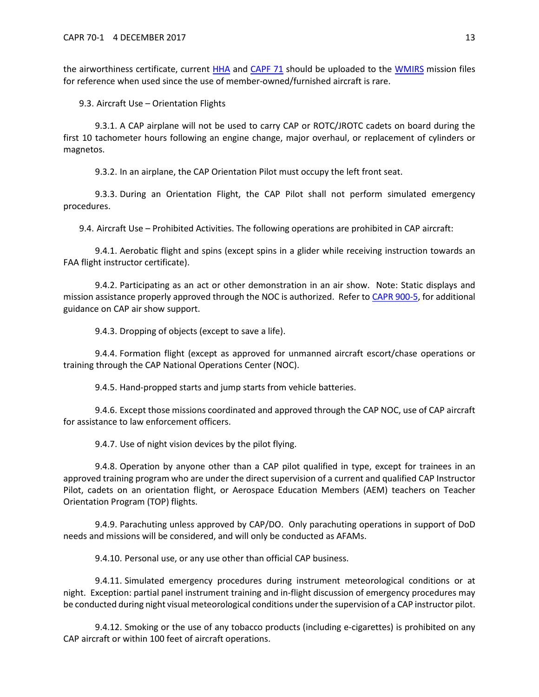the airworthiness certificate, current [HHA](https://www.capmembers.com/media/cms/AF_Hold_Harmless_Agreement_0B725DA08C02A.pdf) and [CAPF 71](https://www.capmembers.com/media/cms/F071_484891873A9D5.pdf) should be uploaded to the [WMIRS](https://www.capnhq.gov/WMIRS/Default.aspx) mission files for reference when used since the use of member-owned/furnished aircraft is rare.

9.3. Aircraft Use – Orientation Flights

9.3.1. A CAP airplane will not be used to carry CAP or ROTC/JROTC cadets on board during the first 10 tachometer hours following an engine change, major overhaul, or replacement of cylinders or magnetos.

9.3.2. In an airplane, the CAP Orientation Pilot must occupy the left front seat.

9.3.3. During an Orientation Flight, the CAP Pilot shall not perform simulated emergency procedures.

9.4. Aircraft Use – Prohibited Activities. The following operations are prohibited in CAP aircraft:

9.4.1. Aerobatic flight and spins (except spins in a glider while receiving instruction towards an FAA flight instructor certificate).

9.4.2. Participating as an act or other demonstration in an air show. Note: Static displays and mission assistance properly approved through the NOC is authorized. Refer to [CAPR 900-5,](https://www.capmembers.com/media/cms/R900_005_8F2514161E982.pdf) for additional guidance on CAP air show support.

9.4.3. Dropping of objects (except to save a life).

9.4.4. Formation flight (except as approved for unmanned aircraft escort/chase operations or training through the CAP National Operations Center (NOC).

9.4.5. Hand-propped starts and jump starts from vehicle batteries.

9.4.6. Except those missions coordinated and approved through the CAP NOC, use of CAP aircraft for assistance to law enforcement officers.

9.4.7. Use of night vision devices by the pilot flying.

9.4.8. Operation by anyone other than a CAP pilot qualified in type, except for trainees in an approved training program who are under the direct supervision of a current and qualified CAP Instructor Pilot, cadets on an orientation flight, or Aerospace Education Members (AEM) teachers on Teacher Orientation Program (TOP) flights.

9.4.9. Parachuting unless approved by CAP/DO. Only parachuting operations in support of DoD needs and missions will be considered, and will only be conducted as AFAMs.

9.4.10. Personal use, or any use other than official CAP business.

9.4.11. Simulated emergency procedures during instrument meteorological conditions or at night. Exception: partial panel instrument training and in-flight discussion of emergency procedures may be conducted during night visual meteorological conditions under the supervision of a CAP instructor pilot.

9.4.12. Smoking or the use of any tobacco products (including e-cigarettes) is prohibited on any CAP aircraft or within 100 feet of aircraft operations.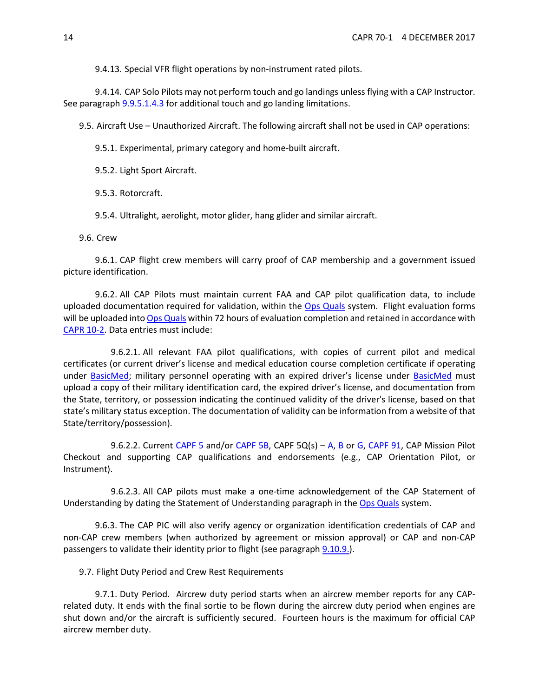9.4.13. Special VFR flight operations by non-instrument rated pilots.

9.4.14. CAP Solo Pilots may not perform touch and go landings unless flying with a CAP Instructor. See paragraph [9.9.5.1.4.3](#page-15-0) for additional touch and go landing limitations.

9.5. Aircraft Use – Unauthorized Aircraft. The following aircraft shall not be used in CAP operations:

9.5.1. Experimental, primary category and home-built aircraft.

9.5.2. Light Sport Aircraft.

9.5.3. Rotorcraft.

9.5.4. Ultralight, aerolight, motor glider, hang glider and similar aircraft.

9.6. Crew

9.6.1. CAP flight crew members will carry proof of CAP membership and a government issued picture identification.

<span id="page-13-0"></span>9.6.2. All CAP Pilots must maintain current FAA and CAP pilot qualification data, to include uploaded documentation required for validation, within the [Ops Quals](https://www.capnhq.gov/CAP.OPSQuals.Web/Default.aspx) system. Flight evaluation forms will be uploaded into [Ops Quals](https://www.capnhq.gov/CAP.OPSQuals.Web/Default.aspx) within 72 hours of evaluation completion and retained in accordance with [CAPR 10-2.](https://www.capmembers.com/media/cms/R010_002_06448D9F87459.pdf) Data entries must include:

9.6.2.1. All relevant FAA pilot qualifications, with copies of current pilot and medical certificates (or current driver's license and medical education course completion certificate if operating under [BasicMed;](https://www.faa.gov/licenses_certificates/airmen_certification/basic_med/) military personnel operating with an expired driver's license under [BasicMed](https://www.faa.gov/licenses_certificates/airmen_certification/basic_med/) must upload a copy of their military identification card, the expired driver's license, and documentation from the State, territory, or possession indicating the continued validity of the driver's license, based on that state's military status exception. The documentation of validity can be information from a website of that State/territory/possession).

9.6.2.2. Current [CAPF 5](https://www.capmembers.com/media/cms/F005_307D79BCBF52D.pdf) and/or [CAPF 5B,](https://www.capmembers.com/media/cms/F005B_802478EE09D2A.pdf) CAPF 5Q(s) – [A,](https://www.capmembers.com/media/cms/F005Q_A_CE3D5276A7C14.pdf) [B](https://www.capmembers.com/media/cms/F005Q_B_6259910691C4F.pdf) or [G,](https://www.capmembers.com/media/cms/F005Q_G_74F252F1381E7.pdf) [CAPF 91,](https://www.capmembers.com/media/cms/F091_449297B36A647.pdf) CAP Mission Pilot Checkout and supporting CAP qualifications and endorsements (e.g., CAP Orientation Pilot, or Instrument).

9.6.2.3. All CAP pilots must make a one-time acknowledgement of the CAP Statement of Understanding by dating the Statement of Understanding paragraph in th[e Ops Quals](https://www.capnhq.gov/CAP.OPSQuals.Web/Default.aspx) system.

9.6.3. The CAP PIC will also verify agency or organization identification credentials of CAP and non-CAP crew members (when authorized by agreement or mission approval) or CAP and non-CAP passengers to validate their identity prior to flight (see paragraph [9.10.9.\)](#page-21-0).

9.7. Flight Duty Period and Crew Rest Requirements

9.7.1. Duty Period. Aircrew duty period starts when an aircrew member reports for any CAPrelated duty. It ends with the final sortie to be flown during the aircrew duty period when engines are shut down and/or the aircraft is sufficiently secured. Fourteen hours is the maximum for official CAP aircrew member duty.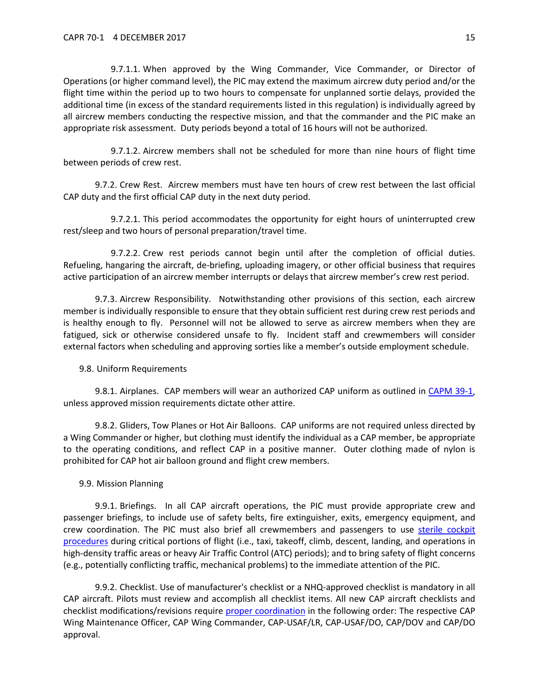9.7.1.1. When approved by the Wing Commander, Vice Commander, or Director of Operations (or higher command level), the PIC may extend the maximum aircrew duty period and/or the flight time within the period up to two hours to compensate for unplanned sortie delays, provided the additional time (in excess of the standard requirements listed in this regulation) is individually agreed by all aircrew members conducting the respective mission, and that the commander and the PIC make an appropriate risk assessment. Duty periods beyond a total of 16 hours will not be authorized.

9.7.1.2. Aircrew members shall not be scheduled for more than nine hours of flight time between periods of crew rest.

9.7.2. Crew Rest. Aircrew members must have ten hours of crew rest between the last official CAP duty and the first official CAP duty in the next duty period.

9.7.2.1. This period accommodates the opportunity for eight hours of uninterrupted crew rest/sleep and two hours of personal preparation/travel time.

9.7.2.2. Crew rest periods cannot begin until after the completion of official duties. Refueling, hangaring the aircraft, de-briefing, uploading imagery, or other official business that requires active participation of an aircrew member interrupts or delays that aircrew member's crew rest period.

9.7.3. Aircrew Responsibility. Notwithstanding other provisions of this section, each aircrew member is individually responsible to ensure that they obtain sufficient rest during crew rest periods and is healthy enough to fly. Personnel will not be allowed to serve as aircrew members when they are fatigued, sick or otherwise considered unsafe to fly. Incident staff and crewmembers will consider external factors when scheduling and approving sorties like a member's outside employment schedule.

#### 9.8. Uniform Requirements

9.8.1. Airplanes. CAP members will wear an authorized CAP uniform as outlined in [CAPM 39-1,](https://www.capmembers.com/media/cms/M391_E6F33EAAEC28A.pdf) unless approved mission requirements dictate other attire.

9.8.2. Gliders, Tow Planes or Hot Air Balloons. CAP uniforms are not required unless directed by a Wing Commander or higher, but clothing must identify the individual as a CAP member, be appropriate to the operating conditions, and reflect CAP in a positive manner. Outer clothing made of nylon is prohibited for CAP hot air balloon ground and flight crew members.

#### 9.9. Mission Planning

9.9.1. Briefings. In all CAP aircraft operations, the PIC must provide appropriate crew and passenger briefings, to include use of safety belts, fire extinguisher, exits, emergency equipment, and crew coordination. The PIC must also brief all crewmembers and passengers to use sterile cockpit [procedures](http://www.capmembers.com/media/cms/CAPR_601_Sterile_Cockpit_Procedures_F388FB294AF27.pdf) during critical portions of flight (i.e., taxi, takeoff, climb, descent, landing, and operations in high-density traffic areas or heavy Air Traffic Control (ATC) periods); and to bring safety of flight concerns (e.g., potentially conflicting traffic, mechanical problems) to the immediate attention of the PIC.

9.9.2. Checklist. Use of manufacturer's checklist or a NHQ-approved checklist is mandatory in all CAP aircraft. Pilots must review and accomplish all checklist items. All new CAP aircraft checklists and checklist modifications/revisions require [proper coordination](http://www.capmembers.com/emergency_services/aircraft_ops__staneval/checklist-instructions/) in the following order: The respective CAP Wing Maintenance Officer, CAP Wing Commander, CAP-USAF/LR, CAP-USAF/DO, CAP/DOV and CAP/DO approval.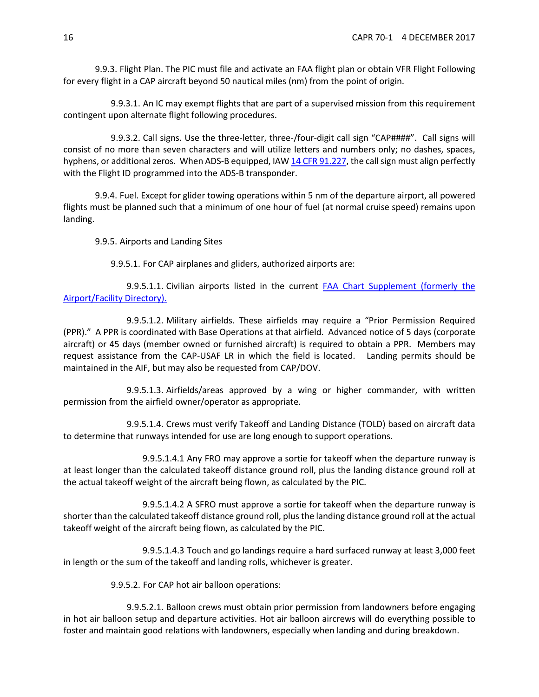9.9.3. Flight Plan. The PIC must file and activate an FAA flight plan or obtain VFR Flight Following for every flight in a CAP aircraft beyond 50 nautical miles (nm) from the point of origin.

9.9.3.1. An IC may exempt flights that are part of a supervised mission from this requirement contingent upon alternate flight following procedures.

<span id="page-15-1"></span>9.9.3.2. Call signs. Use the three-letter, three-/four-digit call sign "CAP####". Call signs will consist of no more than seven characters and will utilize letters and numbers only; no dashes, spaces, hyphens, or additional zeros. When ADS-B equipped, IA[W 14 CFR 91.227,](https://www.ecfr.gov/cgi-bin/text-idx?node=14:2.0.1.3.10#se14.2.91_1227) the call sign must align perfectly with the Flight ID programmed into the ADS-B transponder.

9.9.4. Fuel. Except for glider towing operations within 5 nm of the departure airport, all powered flights must be planned such that a minimum of one hour of fuel (at normal cruise speed) remains upon landing.

9.9.5. Airports and Landing Sites

9.9.5.1. For CAP airplanes and gliders, authorized airports are:

9.9.5.1.1. Civilian airports listed in the current **FAA Chart Supplement (formerly the** [Airport/Facility Directory\).](https://www.faa.gov/air_traffic/flight_info/aeronav/digital_products/dafd/)

9.9.5.1.2. Military airfields. These airfields may require a "Prior Permission Required (PPR)." A PPR is coordinated with Base Operations at that airfield. Advanced notice of 5 days (corporate aircraft) or 45 days (member owned or furnished aircraft) is required to obtain a PPR. Members may request assistance from the CAP-USAF LR in which the field is located. Landing permits should be maintained in the AIF, but may also be requested from CAP/DOV.

9.9.5.1.3. Airfields/areas approved by a wing or higher commander, with written permission from the airfield owner/operator as appropriate.

9.9.5.1.4. Crews must verify Takeoff and Landing Distance (TOLD) based on aircraft data to determine that runways intended for use are long enough to support operations.

9.9.5.1.4.1 Any FRO may approve a sortie for takeoff when the departure runway is at least longer than the calculated takeoff distance ground roll, plus the landing distance ground roll at the actual takeoff weight of the aircraft being flown, as calculated by the PIC.

9.9.5.1.4.2 A SFRO must approve a sortie for takeoff when the departure runway is shorter than the calculated takeoff distance ground roll, plus the landing distance ground roll at the actual takeoff weight of the aircraft being flown, as calculated by the PIC.

<span id="page-15-0"></span>9.9.5.1.4.3 Touch and go landings require a hard surfaced runway at least 3,000 feet in length or the sum of the takeoff and landing rolls, whichever is greater.

9.9.5.2. For CAP hot air balloon operations:

9.9.5.2.1. Balloon crews must obtain prior permission from landowners before engaging in hot air balloon setup and departure activities. Hot air balloon aircrews will do everything possible to foster and maintain good relations with landowners, especially when landing and during breakdown.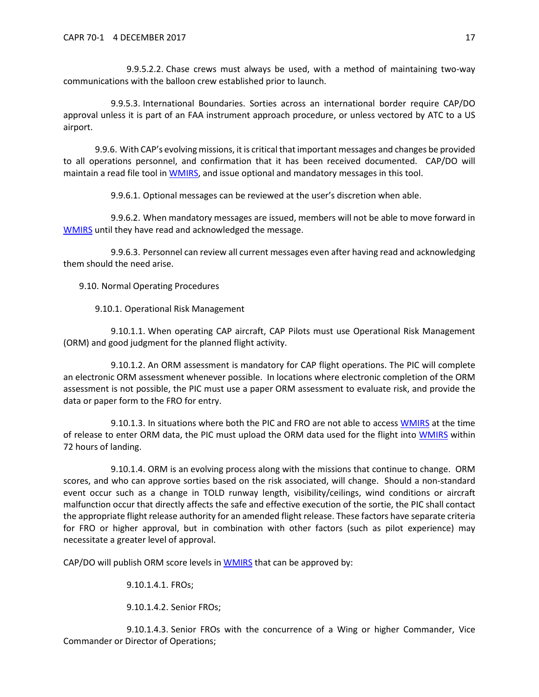9.9.5.2.2. Chase crews must always be used, with a method of maintaining two-way communications with the balloon crew established prior to launch.

9.9.5.3. International Boundaries. Sorties across an international border require CAP/DO approval unless it is part of an FAA instrument approach procedure, or unless vectored by ATC to a US airport.

9.9.6. With CAP's evolving missions, it is critical that important messages and changes be provided to all operations personnel, and confirmation that it has been received documented. CAP/DO will maintain a read file tool in [WMIRS,](https://www.capnhq.gov/WMIRS/Default.aspx) and issue optional and mandatory messages in this tool.

9.9.6.1. Optional messages can be reviewed at the user's discretion when able.

9.9.6.2. When mandatory messages are issued, members will not be able to move forward in [WMIRS](https://www.capnhq.gov/WMIRS/Default.aspx) until they have read and acknowledged the message.

9.9.6.3. Personnel can review all current messages even after having read and acknowledging them should the need arise.

9.10. Normal Operating Procedures

9.10.1. Operational Risk Management

9.10.1.1. When operating CAP aircraft, CAP Pilots must use Operational Risk Management (ORM) and good judgment for the planned flight activity.

9.10.1.2. An ORM assessment is mandatory for CAP flight operations. The PIC will complete an electronic ORM assessment whenever possible. In locations where electronic completion of the ORM assessment is not possible, the PIC must use a paper ORM assessment to evaluate risk, and provide the data or paper form to the FRO for entry.

9.10.1.3. In situations where both the PIC and FRO are not able to access [WMIRS](https://www.capnhq.gov/WMIRS/Default.aspx) at the time of release to enter ORM data, the PIC must upload the ORM data used for the flight into [WMIRS](https://www.capnhq.gov/WMIRS/Default.aspx) within 72 hours of landing.

<span id="page-16-0"></span>9.10.1.4. ORM is an evolving process along with the missions that continue to change. ORM scores, and who can approve sorties based on the risk associated, will change. Should a non-standard event occur such as a change in TOLD runway length, visibility/ceilings, wind conditions or aircraft malfunction occur that directly affects the safe and effective execution of the sortie, the PIC shall contact the appropriate flight release authority for an amended flight release. These factors have separate criteria for FRO or higher approval, but in combination with other factors (such as pilot experience) may necessitate a greater level of approval.

CAP/DO will publish ORM score levels in [WMIRS](https://www.capnhq.gov/WMIRS/Default.aspx) that can be approved by:

9.10.1.4.1. FROs;

9.10.1.4.2. Senior FROs;

9.10.1.4.3. Senior FROs with the concurrence of a Wing or higher Commander, Vice Commander or Director of Operations;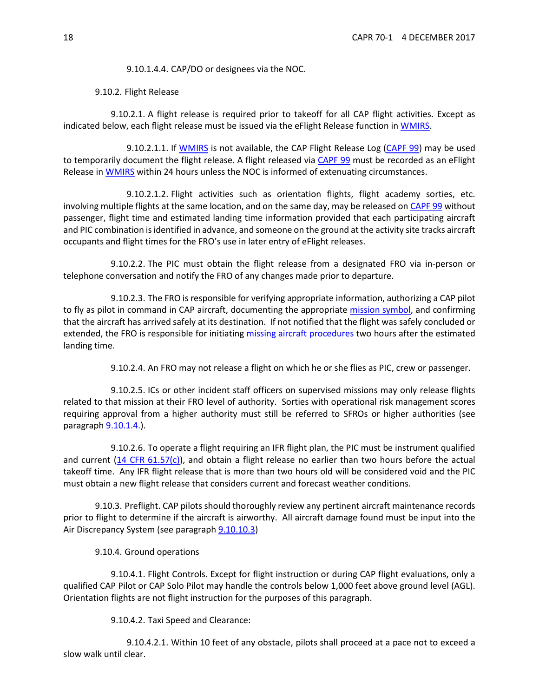9.10.1.4.4. CAP/DO or designees via the NOC.

9.10.2. Flight Release

<span id="page-17-2"></span>9.10.2.1. A flight release is required prior to takeoff for all CAP flight activities. Except as indicated below, each flight release must be issued via the eFlight Release function in [WMIRS.](https://www.capnhq.gov/WMIRS/Default.aspx)

9.10.2.1.1. If [WMIRS](https://www.capnhq.gov/WMIRS/Default.aspx) is not available, the CAP Flight Release Log [\(CAPF 99\)](https://www.capmembers.com/media/cms/F099_988948C87DFCF.pdf) may be used to temporarily document the flight release. A flight released via [CAPF 99](https://www.capmembers.com/media/cms/F099_988948C87DFCF.pdf) must be recorded as an eFlight Release in [WMIRS](https://www.capnhq.gov/WMIRS/Default.aspx) within 24 hours unless the NOC is informed of extenuating circumstances.

9.10.2.1.2. Flight activities such as orientation flights, flight academy sorties, etc. involving multiple flights at the same location, and on the same day, may be released on [CAPF 99](https://www.capmembers.com/media/cms/F099_988948C87DFCF.pdf) without passenger, flight time and estimated landing time information provided that each participating aircraft and PIC combination is identified in advance, and someone on the ground at the activity site tracks aircraft occupants and flight times for the FRO's use in later entry of eFlight releases.

9.10.2.2. The PIC must obtain the flight release from a designated FRO via in-person or telephone conversation and notify the FRO of any changes made prior to departure.

9.10.2.3. The FRO is responsible for verifying appropriate information, authorizing a CAP pilot to fly as pilot in command in CAP aircraft, documenting the appropriate [mission symbol,](https://www.capmembers.com/media/cms/07_AIF_FLT_LOG_2_A285ACB8477D5.pdf) and confirming that the aircraft has arrived safely at its destination. If not notified that the flight was safely concluded or extended, the FRO is responsible for initiating [missing aircraft procedures](https://www.capmembers.com/media/cms/MISSING_AIRCRAFT_PROCEDURES_31CE592FEA094.pdf) two hours after the estimated landing time.

9.10.2.4. An FRO may not release a flight on which he or she flies as PIC, crew or passenger.

<span id="page-17-0"></span>9.10.2.5. ICs or other incident staff officers on supervised missions may only release flights related to that mission at their FRO level of authority. Sorties with operational risk management scores requiring approval from a higher authority must still be referred to SFROs or higher authorities (see paragraph  $9.10.1.4.$ ).

<span id="page-17-1"></span>9.10.2.6. To operate a flight requiring an IFR flight plan, the PIC must be instrument qualified and current [\(14 CFR 61.57\(c\)\)](https://www.ecfr.gov/cgi-bin/text-idx?SID=3f7f7a8c1918e3ff9b94c332fea614e7&mc=true&node=se14.2.61_157&rgn=div8), and obtain a flight release no earlier than two hours before the actual takeoff time. Any IFR flight release that is more than two hours old will be considered void and the PIC must obtain a new flight release that considers current and forecast weather conditions.

9.10.3. Preflight. CAP pilots should thoroughly review any pertinent aircraft maintenance records prior to flight to determine if the aircraft is airworthy. All aircraft damage found must be input into the Air Discrepancy System (see paragraph [9.10.10.3\)](#page-22-0)

9.10.4. Ground operations

9.10.4.1. Flight Controls. Except for flight instruction or during CAP flight evaluations, only a qualified CAP Pilot or CAP Solo Pilot may handle the controls below 1,000 feet above ground level (AGL). Orientation flights are not flight instruction for the purposes of this paragraph.

9.10.4.2. Taxi Speed and Clearance:

9.10.4.2.1. Within 10 feet of any obstacle, pilots shall proceed at a pace not to exceed a slow walk until clear.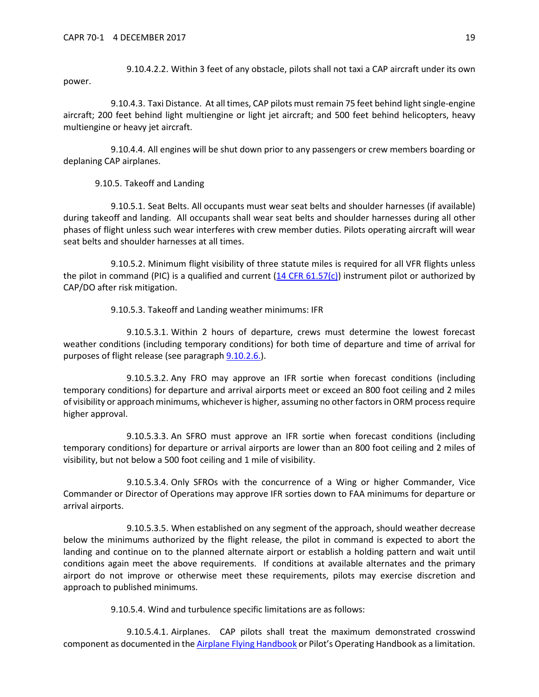9.10.4.2.2. Within 3 feet of any obstacle, pilots shall not taxi a CAP aircraft under its own power.

9.10.4.3. Taxi Distance. At all times, CAP pilots must remain 75 feet behind light single-engine aircraft; 200 feet behind light multiengine or light jet aircraft; and 500 feet behind helicopters, heavy multiengine or heavy jet aircraft.

9.10.4.4. All engines will be shut down prior to any passengers or crew members boarding or deplaning CAP airplanes.

9.10.5. Takeoff and Landing

9.10.5.1. Seat Belts. All occupants must wear seat belts and shoulder harnesses (if available) during takeoff and landing. All occupants shall wear seat belts and shoulder harnesses during all other phases of flight unless such wear interferes with crew member duties. Pilots operating aircraft will wear seat belts and shoulder harnesses at all times.

9.10.5.2. Minimum flight visibility of three statute miles is required for all VFR flights unless the pilot in command (PIC) is a qualified and current  $(14 \text{ CFR } 61.57(c))$  instrument pilot or authorized by CAP/DO after risk mitigation.

9.10.5.3. Takeoff and Landing weather minimums: IFR

9.10.5.3.1. Within 2 hours of departure, crews must determine the lowest forecast weather conditions (including temporary conditions) for both time of departure and time of arrival for purposes of flight release (see paragraph [9.10.2.6.\)](#page-17-1).

9.10.5.3.2. Any FRO may approve an IFR sortie when forecast conditions (including temporary conditions) for departure and arrival airports meet or exceed an 800 foot ceiling and 2 miles of visibility or approach minimums, whichever is higher, assuming no other factors in ORM process require higher approval.

9.10.5.3.3. An SFRO must approve an IFR sortie when forecast conditions (including temporary conditions) for departure or arrival airports are lower than an 800 foot ceiling and 2 miles of visibility, but not below a 500 foot ceiling and 1 mile of visibility.

9.10.5.3.4. Only SFROs with the concurrence of a Wing or higher Commander, Vice Commander or Director of Operations may approve IFR sorties down to FAA minimums for departure or arrival airports.

9.10.5.3.5. When established on any segment of the approach, should weather decrease below the minimums authorized by the flight release, the pilot in command is expected to abort the landing and continue on to the planned alternate airport or establish a holding pattern and wait until conditions again meet the above requirements. If conditions at available alternates and the primary airport do not improve or otherwise meet these requirements, pilots may exercise discretion and approach to published minimums.

9.10.5.4. Wind and turbulence specific limitations are as follows:

9.10.5.4.1. Airplanes. CAP pilots shall treat the maximum demonstrated crosswind component as documented in th[e Airplane Flying Handbook](https://www.faa.gov/regulations_policies/handbooks_manuals/aviation/airplane_handbook/) or Pilot's Operating Handbook as a limitation.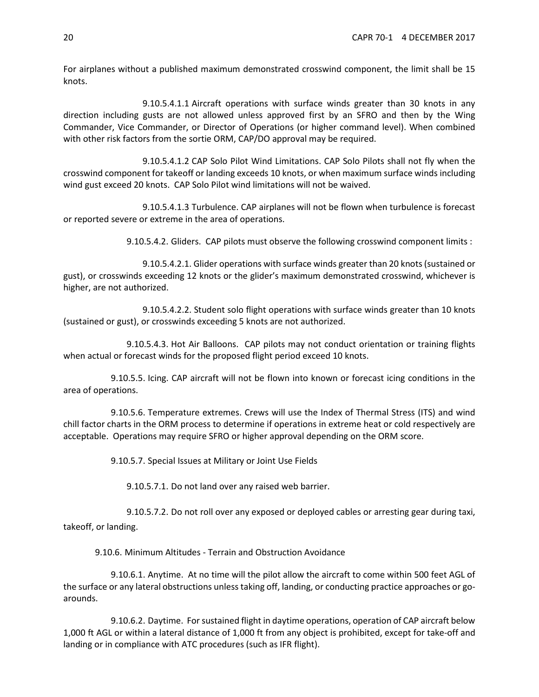For airplanes without a published maximum demonstrated crosswind component, the limit shall be 15 knots.

9.10.5.4.1.1 Aircraft operations with surface winds greater than 30 knots in any direction including gusts are not allowed unless approved first by an SFRO and then by the Wing Commander, Vice Commander, or Director of Operations (or higher command level). When combined with other risk factors from the sortie ORM, CAP/DO approval may be required.

9.10.5.4.1.2 CAP Solo Pilot Wind Limitations. CAP Solo Pilots shall not fly when the crosswind component for takeoff or landing exceeds 10 knots, or when maximum surface winds including wind gust exceed 20 knots. CAP Solo Pilot wind limitations will not be waived.

9.10.5.4.1.3 Turbulence. CAP airplanes will not be flown when turbulence is forecast or reported severe or extreme in the area of operations.

9.10.5.4.2. Gliders. CAP pilots must observe the following crosswind component limits :

9.10.5.4.2.1. Glider operations with surface winds greater than 20 knots (sustained or gust), or crosswinds exceeding 12 knots or the glider's maximum demonstrated crosswind, whichever is higher, are not authorized.

9.10.5.4.2.2. Student solo flight operations with surface winds greater than 10 knots (sustained or gust), or crosswinds exceeding 5 knots are not authorized.

9.10.5.4.3. Hot Air Balloons. CAP pilots may not conduct orientation or training flights when actual or forecast winds for the proposed flight period exceed 10 knots.

9.10.5.5. Icing. CAP aircraft will not be flown into known or forecast icing conditions in the area of operations.

9.10.5.6. Temperature extremes. Crews will use the Index of Thermal Stress (ITS) and wind chill factor charts in the ORM process to determine if operations in extreme heat or cold respectively are acceptable. Operations may require SFRO or higher approval depending on the ORM score.

9.10.5.7. Special Issues at Military or Joint Use Fields

9.10.5.7.1. Do not land over any raised web barrier.

9.10.5.7.2. Do not roll over any exposed or deployed cables or arresting gear during taxi, takeoff, or landing.

9.10.6. Minimum Altitudes - Terrain and Obstruction Avoidance

9.10.6.1. Anytime. At no time will the pilot allow the aircraft to come within 500 feet AGL of the surface or any lateral obstructions unless taking off, landing, or conducting practice approaches or goarounds.

9.10.6.2. Daytime. For sustained flight in daytime operations, operation of CAP aircraft below 1,000 ft AGL or within a lateral distance of 1,000 ft from any object is prohibited, except for take-off and landing or in compliance with ATC procedures (such as IFR flight).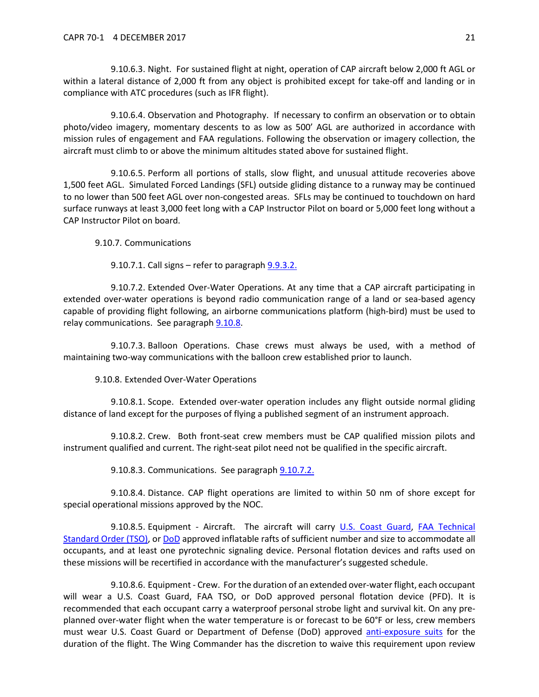9.10.6.3. Night. For sustained flight at night, operation of CAP aircraft below 2,000 ft AGL or within a lateral distance of 2,000 ft from any object is prohibited except for take-off and landing or in compliance with ATC procedures (such as IFR flight).

9.10.6.4. Observation and Photography. If necessary to confirm an observation or to obtain photo/video imagery, momentary descents to as low as 500' AGL are authorized in accordance with mission rules of engagement and FAA regulations. Following the observation or imagery collection, the aircraft must climb to or above the minimum altitudes stated above for sustained flight.

9.10.6.5. Perform all portions of stalls, slow flight, and unusual attitude recoveries above 1,500 feet AGL. Simulated Forced Landings (SFL) outside gliding distance to a runway may be continued to no lower than 500 feet AGL over non-congested areas. SFLs may be continued to touchdown on hard surface runways at least 3,000 feet long with a CAP Instructor Pilot on board or 5,000 feet long without a CAP Instructor Pilot on board.

9.10.7. Communications

9.10.7.1. Call signs  $-$  refer to paragraph  $9.9.3.2$ .

9.10.7.2. Extended Over-Water Operations. At any time that a CAP aircraft participating in extended over-water operations is beyond radio communication range of a land or sea-based agency capable of providing flight following, an airborne communications platform (high-bird) must be used to relay communications. See paragraph [9.10.8.](#page-20-0)

9.10.7.3. Balloon Operations. Chase crews must always be used, with a method of maintaining two-way communications with the balloon crew established prior to launch.

9.10.8. Extended Over-Water Operations

<span id="page-20-0"></span>9.10.8.1. Scope. Extended over-water operation includes any flight outside normal gliding distance of land except for the purposes of flying a published segment of an instrument approach.

9.10.8.2. Crew. Both front-seat crew members must be CAP qualified mission pilots and instrument qualified and current. The right-seat pilot need not be qualified in the specific aircraft.

9.10.8.3. Communications. See paragraph [9.10.7.2.](#page-20-0)

9.10.8.4. Distance. CAP flight operations are limited to within 50 nm of shore except for special operational missions approved by the NOC.

9.10.8.5. Equipment - Aircraft. The aircraft will carry [U.S. Coast Guard,](https://cgmix.uscg.mil/Equipment/EquipmentSearch.aspx) FAA Technical [Standard Order \(TSO\),](http://rgl.faa.gov/Regulatory_and_Guidance_Library/rgTSO.nsf/0/84b4dc2ae7da214486256dc100570992/$FILE/C70a.pdf) or [DoD](http://quicksearch.dla.mil/Transient/7AE1314F490845A7B111EAC033DBA53E.pdf) approved inflatable rafts of sufficient number and size to accommodate all occupants, and at least one pyrotechnic signaling device. Personal flotation devices and rafts used on these missions will be recertified in accordance with the manufacturer's suggested schedule.

9.10.8.6. Equipment - Crew. For the duration of an extended over-water flight, each occupant will wear a U.S. Coast Guard, FAA TSO, or DoD approved personal flotation device (PFD). It is recommended that each occupant carry a waterproof personal strobe light and survival kit. On any preplanned over-water flight when the water temperature is or forecast to be 60°F or less, crew members must wear U.S. Coast Guard or Department of Defense (DoD) approved [anti-exposure suits](http://quicksearch.dla.mil/Transient/8F3E0B5D13774ABDBE3D00B897CC7E9C.pdf) for the duration of the flight. The Wing Commander has the discretion to waive this requirement upon review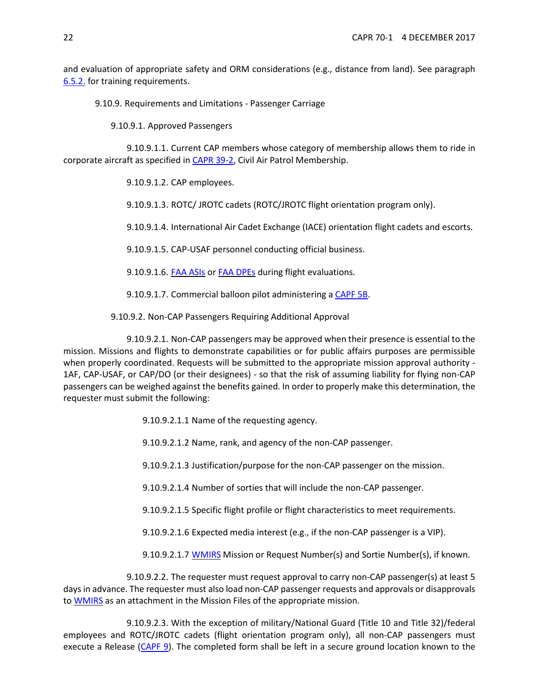<span id="page-21-0"></span>and evaluation of appropriate safety and ORM considerations (e.g., distance from land). See paragraph [6.5.2.](#page-7-4) for training requirements.

9.10.9. Requirements and Limitations - Passenger Carriage

9.10.9.1. Approved Passengers

9.10.9.1.1. Current CAP members whose category of membership allows them to ride in corporate aircraft as specified i[n CAPR 39-2,](https://www.capmembers.com/media/cms/R039_002_A74FDA9552C2D.pdf) Civil Air Patrol Membership.

9.10.9.1.2. CAP employees.

9.10.9.1.3. ROTC/ JROTC cadets (ROTC/JROTC flight orientation program only).

9.10.9.1.4. International Air Cadet Exchange (IACE) orientation flight cadets and escorts.

9.10.9.1.5. CAP-USAF personnel conducting official business.

9.10.9.1.6. FAA [ASIs](https://www.faa.gov/jobs/career_fields/aviation_careers/media/ASI_Fact_Sheet.pdf) or FAA [DPEs](https://www.faa.gov/other_visit/aviation_industry/designees_delegations/designee_types/dpe/) during flight evaluations.

9.10.9.1.7. Commercial balloon pilot administering a [CAPF 5B.](https://www.capmembers.com/media/cms/F005B_802478EE09D2A.pdf)

9.10.9.2. Non-CAP Passengers Requiring Additional Approval

<span id="page-21-1"></span>9.10.9.2.1. Non-CAP passengers may be approved when their presence is essential to the mission. Missions and flights to demonstrate capabilities or for public affairs purposes are permissible when properly coordinated. Requests will be submitted to the appropriate mission approval authority -1AF, CAP-USAF, or CAP/DO (or their designees) - so that the risk of assuming liability for flying non-CAP passengers can be weighed against the benefits gained. In order to properly make this determination, the requester must submit the following:

9.10.9.2.1.1 Name of the requesting agency.

9.10.9.2.1.2 Name, rank, and agency of the non-CAP passenger.

9.10.9.2.1.3 Justification/purpose for the non-CAP passenger on the mission.

9.10.9.2.1.4 Number of sorties that will include the non-CAP passenger.

9.10.9.2.1.5 Specific flight profile or flight characteristics to meet requirements.

9.10.9.2.1.6 Expected media interest (e.g., if the non-CAP passenger is a VIP).

9.10.9.2.1.7 [WMIRS](https://www.capnhq.gov/WMIRS/Default.aspx) Mission or Request Number(s) and Sortie Number(s), if known.

9.10.9.2.2. The requester must request approval to carry non-CAP passenger(s) at least 5 days in advance. The requester must also load non-CAP passenger requests and approvals or disapprovals to [WMIRS](https://www.capnhq.gov/WMIRS/Default.aspx) as an attachment in the Mission Files of the appropriate mission.

9.10.9.2.3. With the exception of military/National Guard (Title 10 and Title 32)/federal employees and ROTC/JROTC cadets (flight orientation program only), all non-CAP passengers must execute a Release [\(CAPF 9\)](https://www.capmembers.com/media/cms/F009_F33F1F93F57F0.pdf). The completed form shall be left in a secure ground location known to the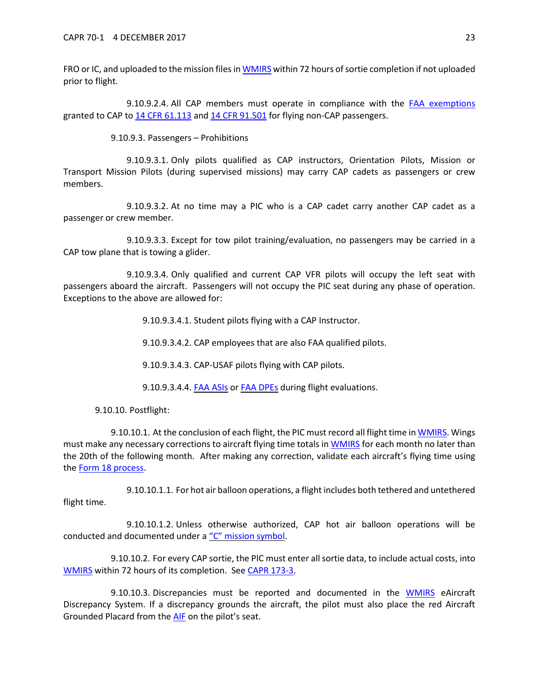FRO or IC, and uploaded to the mission files i[n WMIRS](https://www.capnhq.gov/WMIRS/Default.aspx) within 72 hours of sortie completion if not uploaded prior to flight.

9.10.9.2.4. All CAP members must operate in compliance with the [FAA exemptions](https://www.capmembers.com/media/cms/FAR_EXEMPTIONS_FOR_CAP_AIRCRAFT_OPE_8A476BED098D6.pdf) granted to CAP to [14 CFR 61.113](http://www.ecfr.gov/cgi-bin/text-idx?c=ecfr&sid=40760189a03dfea0b501608f33820a45&rgn=div5&view=text&node=14:2.0.1.1.2&idno=14#se14.2.61_1113) an[d 14 CFR 91.501](http://www.ecfr.gov/cgi-bin/text-idx?c=ecfr&sid=3efaad1b0a259d4e48f1150a34d1aa77&rgn=div5&view=text&node=14:2.0.1.3.10&idno=14#se14.2.91_1501) for flying non-CAP passengers.

9.10.9.3. Passengers – Prohibitions

9.10.9.3.1. Only pilots qualified as CAP instructors, Orientation Pilots, Mission or Transport Mission Pilots (during supervised missions) may carry CAP cadets as passengers or crew members.

9.10.9.3.2. At no time may a PIC who is a CAP cadet carry another CAP cadet as a passenger or crew member.

9.10.9.3.3. Except for tow pilot training/evaluation, no passengers may be carried in a CAP tow plane that is towing a glider.

9.10.9.3.4. Only qualified and current CAP VFR pilots will occupy the left seat with passengers aboard the aircraft. Passengers will not occupy the PIC seat during any phase of operation. Exceptions to the above are allowed for:

9.10.9.3.4.1. Student pilots flying with a CAP Instructor.

9.10.9.3.4.2. CAP employees that are also FAA qualified pilots.

9.10.9.3.4.3. CAP-USAF pilots flying with CAP pilots.

9.10.9.3.4.4. **FAA ASIS OF [FAA](https://www.faa.gov/jobs/career_fields/aviation_careers/media/ASI_Fact_Sheet.pdf) DPES during flight evaluations.** 

9.10.10. Postflight:

<span id="page-22-1"></span>9.10.10.1. At the conclusion of each flight, the PIC must record all flight time i[n WMIRS.](https://www.capnhq.gov/WMIRS/Default.aspx) Wings must make any necessary corrections to aircraft flying time totals in [WMIRS](https://www.capnhq.gov/WMIRS/Default.aspx) for each month no later than the 20th of the following month. After making any correction, validate each aircraft's flying time using the [Form 18 process.](https://www.capnhq.gov/WMIRS/Reports/WMIRSReports.aspx)

9.10.10.1.1. For hot air balloon operations, a flight includes both tethered and untethered flight time.

9.10.10.1.2. Unless otherwise authorized, CAP hot air balloon operations will be conducted and documented under [a "C" mission symbol.](https://www.capmembers.com/media/cms/07_AIF_FLT_LOG_2_A285ACB8477D5.pdf)

<span id="page-22-2"></span>9.10.10.2. For every CAP sortie, the PIC must enter all sortie data, to include actual costs, into [WMIRS](https://www.capnhq.gov/WMIRS/Default.aspx) within 72 hours of its completion. Se[e CAPR 173-3.](https://www.capmembers.com/media/cms/R173_003_BE7CCE2DDCDBB.pdf)

<span id="page-22-0"></span>9.10.10.3. Discrepancies must be reported and documented in the [WMIRS](https://www.capnhq.gov/WMIRS/Default.aspx) eAircraft Discrepancy System. If a discrepancy grounds the aircraft, the pilot must also place the red Aircraft Grounded Placard from the [AIF](http://www.capmembers.com/emergency_services/aircraft_ops__staneval/aif-standardized-cap-aircraft-information-file/) on the pilot's seat.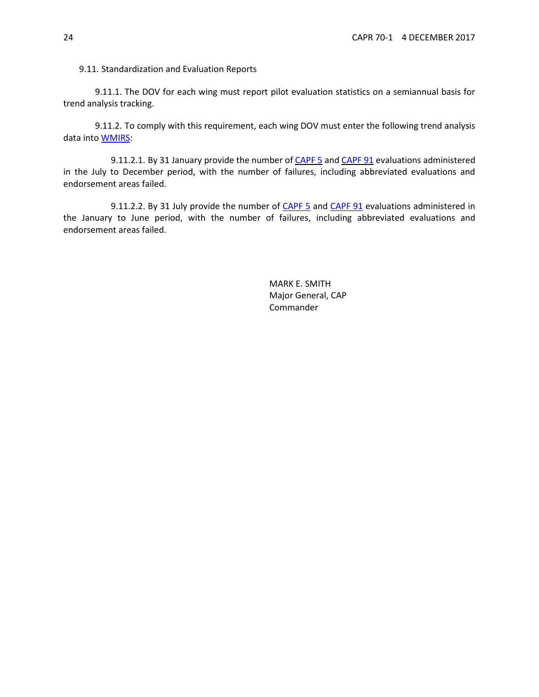<span id="page-23-1"></span>9.11. Standardization and Evaluation Reports

9.11.1. The DOV for each wing must report pilot evaluation statistics on a semiannual basis for trend analysis tracking.

9.11.2. To comply with this requirement, each wing DOV must enter the following trend analysis data into [WMIRS:](https://www.capnhq.gov/WMIRS/Default.aspx)

9.11.2.1. By 31 January provide the number o[f CAPF 5](https://www.capmembers.com/media/cms/F005_307D79BCBF52D.pdf) and [CAPF](https://www.capmembers.com/media/cms/F091_449297B36A647.pdf) 91 evaluations administered in the July to December period, with the number of failures, including abbreviated evaluations and endorsement areas failed.

9.11.2.2. By 31 July provide the number of [CAPF 5](https://www.capmembers.com/media/cms/F005_307D79BCBF52D.pdf) and [CAPF](https://www.capmembers.com/media/cms/F091_449297B36A647.pdf) 91 evaluations administered in the January to June period, with the number of failures, including abbreviated evaluations and endorsement areas failed.

> <span id="page-23-0"></span>MARK E. SMITH Major General, CAP Commander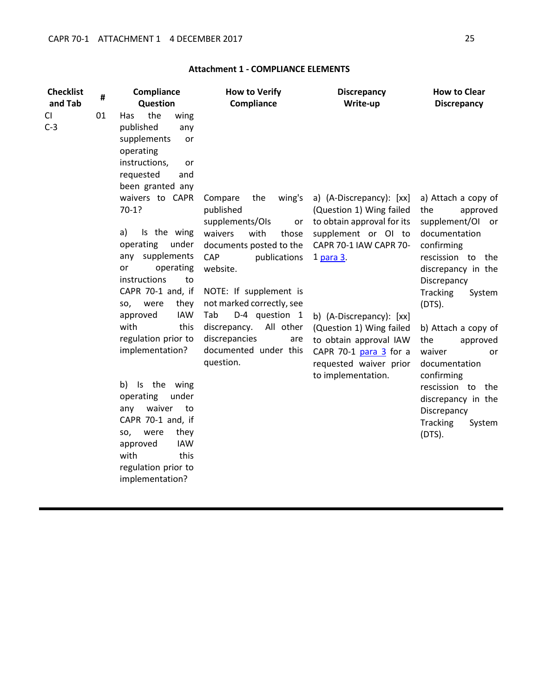| <b>Checklist</b><br>and Tab | #  | Compliance<br>Question                                                                                                                  | <b>How to Verify</b><br>Compliance                             | <b>Discrepancy</b><br>Write-up                                                                   | <b>How to Clear</b><br><b>Discrepancy</b>                      |
|-----------------------------|----|-----------------------------------------------------------------------------------------------------------------------------------------|----------------------------------------------------------------|--------------------------------------------------------------------------------------------------|----------------------------------------------------------------|
| CI<br>$C-3$                 | 01 | the<br>Has<br>wing<br>published<br>any<br>supplements<br>or<br>operating<br>instructions,<br>or<br>requested<br>and<br>been granted any |                                                                |                                                                                                  |                                                                |
|                             |    | waivers to CAPR<br>$70-1?$                                                                                                              | Compare<br>the<br>wing's<br>published<br>supplements/OIs<br>or | a) (A-Discrepancy): [xx]<br>(Question 1) Wing failed<br>to obtain approval for its               | a) Attach a copy of<br>the<br>approved<br>supplement/OI or     |
|                             |    | Is the wing<br>a)<br>operating<br>under                                                                                                 | waivers<br>with<br>those<br>documents posted to the            | supplement or OI to<br>CAPR 70-1 IAW CAPR 70-                                                    | documentation<br>confirming                                    |
|                             |    | any supplements<br>operating<br>or<br>instructions<br>to                                                                                | CAP<br>publications<br>website.                                | 1 para 3.                                                                                        | rescission to the<br>discrepancy in the<br>Discrepancy         |
|                             |    | CAPR 70-1 and, if<br>were<br>they<br>SO,                                                                                                | NOTE: If supplement is<br>not marked correctly, see            |                                                                                                  | <b>Tracking</b><br>System<br>$(DTS)$ .                         |
|                             |    | <b>IAW</b><br>approved                                                                                                                  | D-4 question 1<br>Tab                                          | b) (A-Discrepancy): [xx]                                                                         |                                                                |
|                             |    | with<br>this                                                                                                                            | All other<br>discrepancy.                                      | (Question 1) Wing failed                                                                         | b) Attach a copy of                                            |
|                             |    | regulation prior to<br>implementation?                                                                                                  | discrepancies<br>are<br>documented under this<br>question.     | to obtain approval IAW<br>CAPR 70-1 para 3 for a<br>requested waiver prior<br>to implementation. | the<br>approved<br>waiver<br>or<br>documentation<br>confirming |
|                             |    | b)<br>Is the wing<br>under<br>operating                                                                                                 |                                                                |                                                                                                  | rescission to the<br>discrepancy in the                        |
|                             |    | waiver<br>any<br>to                                                                                                                     |                                                                |                                                                                                  | Discrepancy                                                    |
|                             |    | CAPR 70-1 and, if                                                                                                                       |                                                                |                                                                                                  | <b>Tracking</b><br>System                                      |
|                             |    | were<br>they<br>SO,                                                                                                                     |                                                                |                                                                                                  | (DTS).                                                         |
|                             |    | <b>IAW</b><br>approved                                                                                                                  |                                                                |                                                                                                  |                                                                |
|                             |    | with<br>this                                                                                                                            |                                                                |                                                                                                  |                                                                |
|                             |    | regulation prior to<br>implementation?                                                                                                  |                                                                |                                                                                                  |                                                                |

# **Attachment 1 - COMPLIANCE ELEMENTS**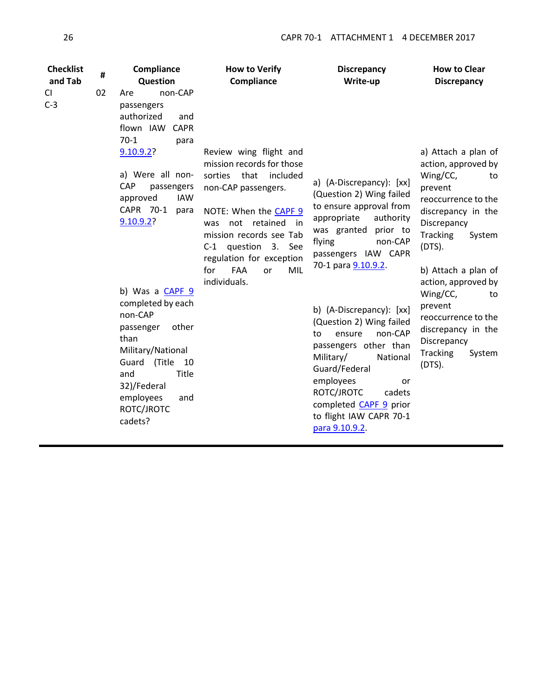| <b>Checklist</b><br>and Tab | # | Compliance<br>Question                                                                                                                                                                               | <b>How to Verify</b><br>Compliance                                                                                                                                                                                                                                                  | <b>Discrepancy</b><br>Write-up                                                                                                                                                                                                                                      | <b>How to Clear</b><br><b>Discrepancy</b>                                                                                                                                                                                   |
|-----------------------------|---|------------------------------------------------------------------------------------------------------------------------------------------------------------------------------------------------------|-------------------------------------------------------------------------------------------------------------------------------------------------------------------------------------------------------------------------------------------------------------------------------------|---------------------------------------------------------------------------------------------------------------------------------------------------------------------------------------------------------------------------------------------------------------------|-----------------------------------------------------------------------------------------------------------------------------------------------------------------------------------------------------------------------------|
| 02<br>CI<br>$C-3$           |   | non-CAP<br>Are<br>passengers<br>authorized<br>and<br>flown IAW CAPR<br>$70-1$<br>para<br>9.10.9.2?<br>a) Were all non-<br><b>CAP</b><br>passengers                                                   | Review wing flight and<br>mission records for those<br>sorties<br>that<br>included<br>non-CAP passengers.<br>NOTE: When the CAPF 9<br>not retained<br>was<br>in.<br>mission records see Tab<br>C-1 question 3.<br>See<br>regulation for exception<br><b>FAA</b><br>for<br>MIL<br>or | a) (A-Discrepancy): [xx]<br>(Question 2) Wing failed<br>to ensure approval from<br>appropriate<br>authority<br>was granted<br>prior to<br>flying<br>non-CAP<br>passengers IAW CAPR<br>70-1 para 9.10.9.2.                                                           | a) Attach a plan of<br>action, approved by<br>Wing/CC,<br>to<br>prevent<br>reoccurrence to the<br>discrepancy in the<br>Discrepancy<br><b>Tracking</b><br>System<br>$(DTS)$ .<br>b) Attach a plan of<br>action, approved by |
|                             |   | approved<br><b>IAW</b><br>CAPR 70-1<br>para<br>9.10.9.2?                                                                                                                                             |                                                                                                                                                                                                                                                                                     |                                                                                                                                                                                                                                                                     |                                                                                                                                                                                                                             |
|                             |   | b) Was a CAPF 9<br>completed by each<br>non-CAP<br>other<br>passenger<br>than<br>Military/National<br>(Title 10<br>Guard<br>and<br>Title<br>32)/Federal<br>employees<br>and<br>ROTC/JROTC<br>cadets? | individuals.                                                                                                                                                                                                                                                                        | b) (A-Discrepancy): [xx]<br>(Question 2) Wing failed<br>non-CAP<br>to<br>ensure<br>passengers other than<br>Military/<br>National<br>Guard/Federal<br>employees<br>or<br>ROTC/JROTC<br>cadets<br>completed CAPF 9 prior<br>to flight IAW CAPR 70-1<br>para 9.10.9.2 | Wing/CC,<br>to<br>prevent<br>reoccurrence to the<br>discrepancy in the<br>Discrepancy<br><b>Tracking</b><br>System<br>$(DTS)$ .                                                                                             |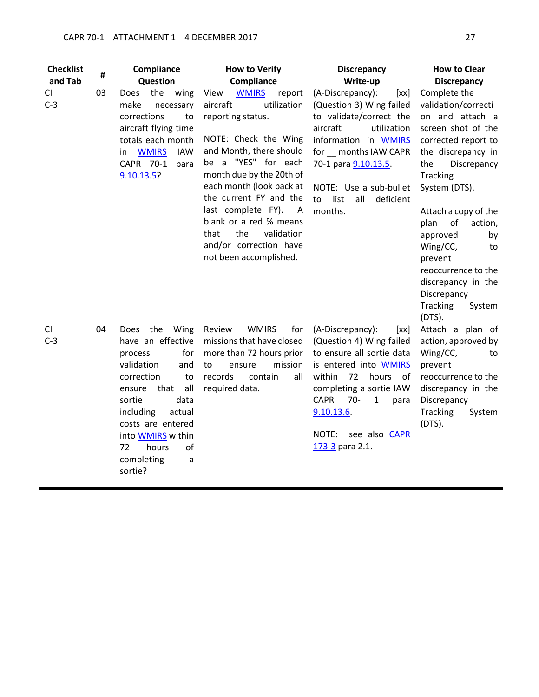| <b>Checklist</b><br>and Tab | #  | Compliance<br>Question                                                                                                                                                                                                                                                 | <b>How to Verify</b><br>Compliance                                                                                                                                                                                                                                                                                                                                               | <b>Discrepancy</b><br>Write-up                                                                                                                                                                                                                                                         | <b>How to Clear</b><br><b>Discrepancy</b>                                                                                                                                                                                                                                                                                                                                                 |
|-----------------------------|----|------------------------------------------------------------------------------------------------------------------------------------------------------------------------------------------------------------------------------------------------------------------------|----------------------------------------------------------------------------------------------------------------------------------------------------------------------------------------------------------------------------------------------------------------------------------------------------------------------------------------------------------------------------------|----------------------------------------------------------------------------------------------------------------------------------------------------------------------------------------------------------------------------------------------------------------------------------------|-------------------------------------------------------------------------------------------------------------------------------------------------------------------------------------------------------------------------------------------------------------------------------------------------------------------------------------------------------------------------------------------|
| CI<br>$C-3$                 | 03 | Does the wing<br>make<br>necessary<br>corrections<br>to<br>aircraft flying time<br>totals each month<br><b>WMIRS</b><br><b>IAW</b><br>in.<br>CAPR 70-1<br>para<br>$9.10.13.5$ ?                                                                                        | <b>WMIRS</b><br>View<br>report<br>aircraft<br>utilization<br>reporting status.<br>NOTE: Check the Wing<br>and Month, there should<br>be a "YES" for each<br>month due by the 20th of<br>each month (look back at<br>the current FY and the<br>last complete FY).<br>A<br>blank or a red % means<br>the<br>validation<br>that<br>and/or correction have<br>not been accomplished. | (A-Discrepancy):<br>[xx]<br>(Question 3) Wing failed<br>to validate/correct the<br>aircraft<br>utilization<br>information in WMIRS<br>for months IAW CAPR<br>70-1 para 9.10.13.5.<br>NOTE: Use a sub-bullet<br>list<br>to<br>all<br>deficient<br>months.                               | Complete the<br>validation/correcti<br>on and attach a<br>screen shot of the<br>corrected report to<br>the discrepancy in<br>the<br>Discrepancy<br><b>Tracking</b><br>System (DTS).<br>Attach a copy of the<br>plan<br>of<br>action,<br>approved<br>by<br>Wing/CC,<br>to<br>prevent<br>reoccurrence to the<br>discrepancy in the<br>Discrepancy<br><b>Tracking</b><br>System<br>$(DTS)$ . |
| CI<br>$C-3$                 | 04 | the Wing<br>Does<br>have an effective<br>process<br>for<br>validation<br>and<br>correction<br>to<br>all<br>that<br>ensure<br>sortie<br>data<br>including<br>actual<br>costs are entered<br>into <b>WMIRS</b> within<br>72<br>hours<br>of<br>completing<br>a<br>sortie? | <b>WMIRS</b><br>Review<br>for<br>missions that have closed<br>more than 72 hours prior<br>mission<br>ensure<br>to<br>records<br>contain<br>all<br>required data.                                                                                                                                                                                                                 | (A-Discrepancy):<br>[xx]<br>(Question 4) Wing failed<br>to ensure all sortie data<br>is entered into <b>WMIRS</b><br>within<br>72<br>hours<br>of<br>completing a sortie IAW<br><b>CAPR</b><br>$70-$<br>$\mathbf{1}$<br>para<br>9.10.13.6.<br>see also CAPR<br>NOTE:<br>173-3 para 2.1. | Attach a plan of<br>action, approved by<br>Wing/CC,<br>to<br>prevent<br>reoccurrence to the<br>discrepancy in the<br>Discrepancy<br><b>Tracking</b><br>System<br>$(DTS)$ .                                                                                                                                                                                                                |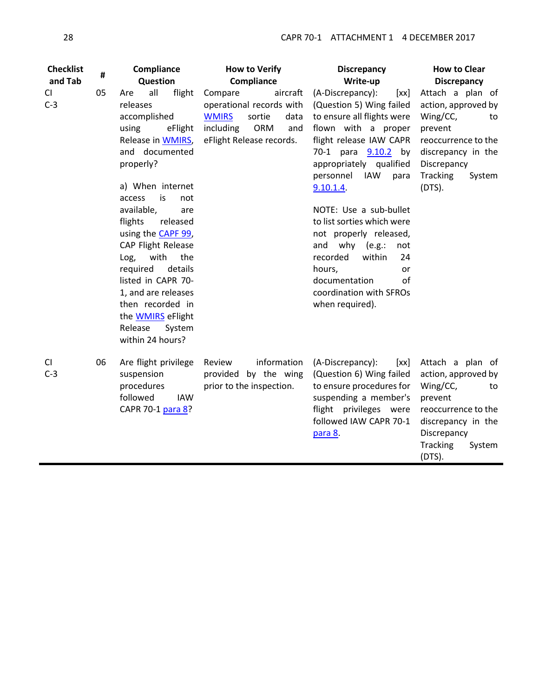| <b>Checklist</b><br>and Tab | #  | Compliance<br>Question                                                                                                                                                                                                                                                                                                                                                                                                                                      | <b>How to Verify</b><br>Compliance                                                                                                       | <b>Discrepancy</b><br>Write-up                                                                                                                                                                                                                                                                                                                                                                                                                                 | <b>How to Clear</b><br><b>Discrepancy</b>                                                                                                                                  |
|-----------------------------|----|-------------------------------------------------------------------------------------------------------------------------------------------------------------------------------------------------------------------------------------------------------------------------------------------------------------------------------------------------------------------------------------------------------------------------------------------------------------|------------------------------------------------------------------------------------------------------------------------------------------|----------------------------------------------------------------------------------------------------------------------------------------------------------------------------------------------------------------------------------------------------------------------------------------------------------------------------------------------------------------------------------------------------------------------------------------------------------------|----------------------------------------------------------------------------------------------------------------------------------------------------------------------------|
| CI<br>$C-3$                 | 05 | all<br>flight<br>Are<br>releases<br>accomplished<br>using<br>eFlight<br>Release in <b>WMIRS</b><br>and documented<br>properly?<br>a) When internet<br>is<br>access<br>not<br>available,<br>are<br>flights<br>released<br>using the <b>CAPF 99</b><br>CAP Flight Release<br>with<br>Log,<br>the<br>required<br>details<br>listed in CAPR 70-<br>1, and are releases<br>then recorded in<br>the <b>WMIRS</b> eFlight<br>Release<br>System<br>within 24 hours? | Compare<br>aircraft<br>operational records with<br><b>WMIRS</b><br>sortie<br>data<br>including<br>ORM<br>and<br>eFlight Release records. | (A-Discrepancy):<br>[xx]<br>(Question 5) Wing failed<br>to ensure all flights were<br>flown with a proper<br>flight release IAW CAPR<br>70-1 para 9.10.2 by<br>appropriately qualified<br>personnel<br>IAW<br>para<br>$9.10.1.4$ .<br>NOTE: Use a sub-bullet<br>to list sorties which were<br>not properly released,<br>and why (e.g.:<br>not<br>recorded<br>within<br>24<br>hours,<br>or<br>documentation<br>of<br>coordination with SFROs<br>when required). | Attach a plan of<br>action, approved by<br>Wing/CC,<br>to<br>prevent<br>reoccurrence to the<br>discrepancy in the<br>Discrepancy<br><b>Tracking</b><br>System<br>$(DTS)$ . |
| CI<br>$C-3$                 | 06 | Are flight privilege<br>suspension<br>procedures<br>followed<br><b>IAW</b><br>CAPR 70-1 para 8?                                                                                                                                                                                                                                                                                                                                                             | information<br>Review<br>provided by the wing<br>prior to the inspection.                                                                | (A-Discrepancy):<br>[xx]<br>(Question 6) Wing failed<br>to ensure procedures for<br>suspending a member's<br>flight privileges were<br>followed IAW CAPR 70-1<br>para 8.                                                                                                                                                                                                                                                                                       | Attach a plan of<br>action, approved by<br>Wing/CC,<br>to<br>prevent<br>reoccurrence to the<br>discrepancy in the<br>Discrepancy<br><b>Tracking</b><br>System<br>(DTS).    |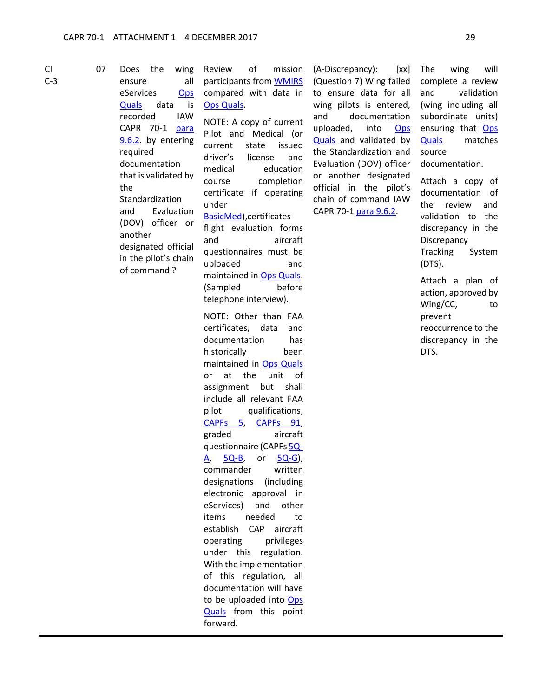CI C-3 07 Does the wing ensure all eServices [Ops](https://www.capnhq.gov/CAP.OPSQuals.Web/Default.aspx)  [Quals](https://www.capnhq.gov/CAP.OPSQuals.Web/Default.aspx) data is recorded IAW CAPR 70-1 [para](#page-13-0)  [9.6.2.](#page-13-0) by entering required documentation that is validated by the Standardization and Evaluation (DOV) officer or another designated official in the pilot's chain of command ?

Review of mission participants from [WMIRS](https://www.capnhq.gov/WMIRS/Default.aspx) compared with data in [Ops Quals.](https://www.capnhq.gov/CAP.OPSQuals.Web/Default.aspx)

NOTE: A copy of current Pilot and Medical (or current state issued driver's license and medical education course completion certificate if operating under [BasicMed\)](https://www.faa.gov/licenses_certificates/airmen_certification/basic_med/),certificates flight evaluation forms and aircraft questionnaires must be

uploaded and maintained in [Ops Quals.](https://www.capnhq.gov/CAP.OPSQuals.Web/Default.aspx) (Sampled before telephone interview).

NOTE: Other than FAA certificates, data and documentation has historically been maintained in [Ops Quals](https://www.capnhq.gov/CAP.OPSQuals.Web/Default.aspx) or at the unit of assignment but shall include all relevant FAA pilot qualifications, [CAPFs 5,](https://www.capmembers.com/media/cms/F005_307D79BCBF52D.pdf) [CAPFs 91,](https://www.capmembers.com/media/cms/F091_449297B36A647.pdf) graded aircraft questionnaire (CAPF[s 5Q-](https://www.capmembers.com/media/cms/F005Q_A_CE3D5276A7C14.pdf)[A,](https://www.capmembers.com/media/cms/F005Q_A_CE3D5276A7C14.pdf) [5Q-B,](https://www.capmembers.com/media/cms/F005Q_B_6259910691C4F.pdf) or [5Q-G\)](https://www.capmembers.com/media/cms/F005Q_G_74F252F1381E7.pdf), commander written designations (including electronic approval in eServices) and other items needed to establish CAP aircraft operating privileges under this regulation. With the implementation of this regulation, all documentation will have to be uploaded into [Ops](https://www.capnhq.gov/CAP.OPSQuals.Web/Default.aspx)  [Quals](https://www.capnhq.gov/CAP.OPSQuals.Web/Default.aspx) from this point forward.

(A-Discrepancy): [xx] (Question 7) Wing failed to ensure data for all wing pilots is entered, and documentation uploaded, into [Ops](https://www.capnhq.gov/CAP.OPSQuals.Web/Default.aspx)  [Quals](https://www.capnhq.gov/CAP.OPSQuals.Web/Default.aspx) and validated by the Standardization and Evaluation (DOV) officer or another designated official in the pilot's chain of command IAW CAPR 70-1 [para 9.6.2.](#page-13-0)

The wing will complete a review and validation (wing including all subordinate units) ensuring that [Ops](https://www.capnhq.gov/CAP.OPSQuals.Web/Default.aspx) [Quals](https://www.capnhq.gov/CAP.OPSQuals.Web/Default.aspx) matches source documentation.

Attach a copy of documentation of the review and validation to the discrepancy in the **Discrepancy** Tracking System (DTS).

Attach a plan of action, approved by Wing/CC, to prevent reoccurrence to the discrepancy in the DTS.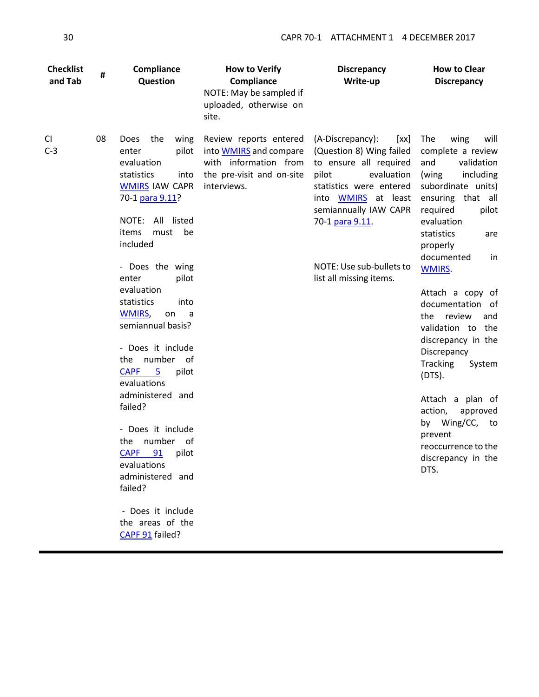| <b>Checklist</b><br>and Tab | #  | Compliance<br>Question                                                                                                                                                                                                                                                                                                                                                                                                                                                                                                                                                   | <b>How to Verify</b><br>Compliance<br>NOTE: May be sampled if<br>uploaded, otherwise on<br>site.                             | <b>Discrepancy</b><br>Write-up                                                                                                                                                                                                                             | <b>How to Clear</b><br><b>Discrepancy</b>                                                                                                                                                                                                                                                                                                                                                                                                                                                                                               |
|-----------------------------|----|--------------------------------------------------------------------------------------------------------------------------------------------------------------------------------------------------------------------------------------------------------------------------------------------------------------------------------------------------------------------------------------------------------------------------------------------------------------------------------------------------------------------------------------------------------------------------|------------------------------------------------------------------------------------------------------------------------------|------------------------------------------------------------------------------------------------------------------------------------------------------------------------------------------------------------------------------------------------------------|-----------------------------------------------------------------------------------------------------------------------------------------------------------------------------------------------------------------------------------------------------------------------------------------------------------------------------------------------------------------------------------------------------------------------------------------------------------------------------------------------------------------------------------------|
| CI<br>$C-3$                 | 08 | wing<br><b>Does</b><br>the<br>pilot<br>enter<br>evaluation<br>statistics<br>into<br><b>WMIRS IAW CAPR</b><br>70-1 para 9.11?<br>NOTE:<br>All listed<br>items<br>must<br>be<br>included<br>- Does the wing<br>pilot<br>enter<br>evaluation<br>statistics<br>into<br><b>WMIRS,</b><br>on<br>a<br>semiannual basis?<br>- Does it include<br>the number of<br><b>CAPF</b><br>5<br>pilot<br>evaluations<br>administered and<br>failed?<br>- Does it include<br>number of<br>the<br><b>CAPF</b><br>91 pilot<br>evaluations<br>administered and<br>failed?<br>- Does it include | Review reports entered<br>into <b>WMIRS</b> and compare<br>with information from<br>the pre-visit and on-site<br>interviews. | (A-Discrepancy):<br>[xx]<br>(Question 8) Wing failed<br>to ensure all required<br>evaluation<br>pilot<br>statistics were entered<br>into WMIRS at least<br>semiannually IAW CAPR<br>70-1 para 9.11.<br>NOTE: Use sub-bullets to<br>list all missing items. | The<br>will<br>wing<br>complete a review<br>and<br>validation<br>(wing<br>including<br>subordinate units)<br>ensuring that all<br>required<br>pilot<br>evaluation<br>statistics<br>are<br>properly<br>documented<br>in<br><b>WMIRS</b><br>Attach a copy of<br>documentation of<br>the<br>review<br>and<br>validation to the<br>discrepancy in the<br>Discrepancy<br><b>Tracking</b><br>System<br>$(DTS)$ .<br>Attach a plan of<br>action,<br>approved<br>by Wing/CC, to<br>prevent<br>reoccurrence to the<br>discrepancy in the<br>DTS. |
|                             |    | the areas of the                                                                                                                                                                                                                                                                                                                                                                                                                                                                                                                                                         |                                                                                                                              |                                                                                                                                                                                                                                                            |                                                                                                                                                                                                                                                                                                                                                                                                                                                                                                                                         |

[CAPF 91](https://www.capmembers.com/media/cms/F091_449297B36A647.pdf) failed?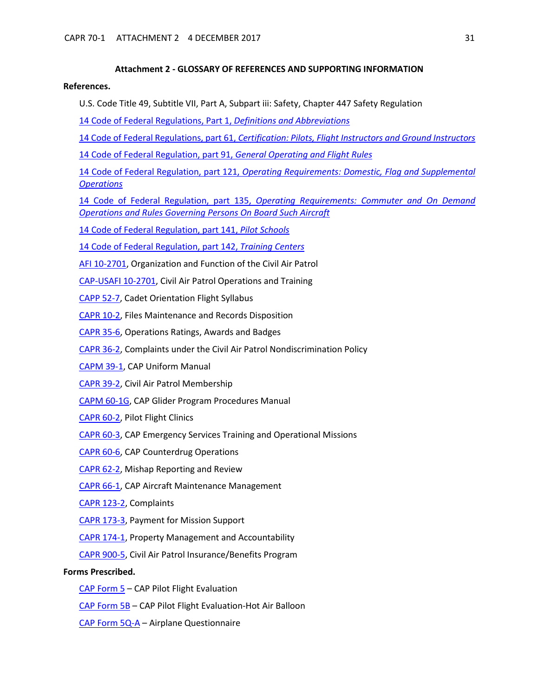#### **Attachment 2 - GLOSSARY OF REFERENCES AND SUPPORTING INFORMATION**

#### <span id="page-30-0"></span>**References.**

U.S. Code Title 49, Subtitle VII, Part A, Subpart iii: Safety, Chapter 447 Safety Regulation

[14 Code of Federal Regulations, Part 1,](http://www.ecfr.gov/cgi-bin/text-idx?SID=24237543f4d6072b2facb5b1dca374c1&mc=true&node=pt14.1.1&rgn=div5) *Definitions and Abbreviations*

[14 Code of Federal Regulations, part 61,](http://www.ecfr.gov/cgi-bin/text-idx?SID=24237543f4d6072b2facb5b1dca374c1&mc=true&node=pt14.2.61&rgn=div5) *Certification: Pilots, Flight Instructors and Ground Instructors*

[14 Code of Federal Regulation, part 91,](http://www.ecfr.gov/cgi-bin/text-idx?SID=24237543f4d6072b2facb5b1dca374c1&mc=true&node=pt14.2.91&rgn=div5) *General Operating and Flight Rules*

14 Code of Federal Regulation, part 121, *[Operating Requirements: Domestic, Flag and Supplemental](http://www.ecfr.gov/cgi-bin/text-idx?SID=867ed70a44c5c87faeb23fb58b640500&mc=true&node=pt14.3.121&rgn=div5)  [Operations](http://www.ecfr.gov/cgi-bin/text-idx?SID=867ed70a44c5c87faeb23fb58b640500&mc=true&node=pt14.3.121&rgn=div5)*

14 Code of Federal Regulation, part 135, *[Operating Requirements: Commuter and On Demand](http://www.ecfr.gov/cgi-bin/text-idx?SID=867ed70a44c5c87faeb23fb58b640500&mc=true&node=pt14.3.135&rgn=div5)  [Operations and Rules Governing Persons On Board Such Aircraft](http://www.ecfr.gov/cgi-bin/text-idx?SID=867ed70a44c5c87faeb23fb58b640500&mc=true&node=pt14.3.135&rgn=div5)*

[14 Code of Federal Regulation, part 141,](http://www.ecfr.gov/cgi-bin/text-idx?SID=867ed70a44c5c87faeb23fb58b640500&mc=true&node=pt14.3.141&rgn=div5) *Pilot Schools*

[14 Code of Federal Regulation, part 142,](http://www.ecfr.gov/cgi-bin/text-idx?SID=867ed70a44c5c87faeb23fb58b640500&mc=true&node=pt14.3.142&rgn=div5) *Training Centers*

[AFI 10-2701,](https://www.capmembers.com/media/cms/AFI_102701_31_Jul_14_0475E646C469F.pdf) Organization and Function of the Civil Air Patrol

[CAP-USAFI 10-2701,](http://www.capmembers.com/media/cms/CAP_USAFI_10_2701.pdf) Civil Air Patrol Operations and Training

- [CAPP 52-7,](https://www.capmembers.com/media/cms/P052_007_9F576CAE3B358.pdf) Cadet Orientation Flight Syllabus
- [CAPR 10-2,](https://www.capmembers.com/media/cms/R010_002_06448D9F87459.pdf) Files Maintenance and Records Disposition
- [CAPR 35-6,](https://www.capmembers.com/media/cms/R035_006_70213217D50CA.pdf) Operations Ratings, Awards and Badges
- [CAPR 36-2,](https://www.capmembers.com/media/cms/R036_002_D2CD7C6F4C14A.pdf) Complaints under the Civil Air Patrol Nondiscrimination Policy
- [CAPM 39-1,](https://www.capmembers.com/media/cms/M391_E6F33EAAEC28A.pdf) CAP Uniform Manual
- [CAPR 39-2,](https://www.capmembers.com/media/cms/R039_002_A74FDA9552C2D.pdf) Civil Air Patrol Membership
- [CAPM 60-1G,](https://www.capmembers.com/media/cms/CAPM060001G_80BC72C96CB5F.pdf) CAP Glider Program Procedures Manual
- [CAPR 60-2,](https://www.capmembers.com/media/cms/R060_002_5503A63D8D4D5.pdf) Pilot Flight Clinics
- [CAPR 60-3,](https://www.capmembers.com/media/cms/R060_003_075A4369FBA8E.pdf) CAP Emergency Services Training and Operational Missions
- [CAPR 60-6,](https://www.capmembers.com/media/cms/R060_006_1A37BA71043C2.pdf) CAP Counterdrug Operations
- [CAPR 62-2,](https://www.capmembers.com/media/cms/R062_002_211E97E99C6A4.pdf) Mishap Reporting and Review
- [CAPR 66-1,](https://www.capmembers.com/media/cms/R066_001_8067887A28C8C.pdf) CAP Aircraft Maintenance Management
- [CAPR 123-2,](https://www.capmembers.com/media/cms/R123_002_3B7E17A8333CE.pdf) Complaints
- [CAPR 173-3,](https://www.capmembers.com/media/cms/CAPR_173003_1_Oct_15_cICL1707_w_ICL_77F0ECC82326B.pdf) Payment for Mission Support
- [CAPR 174-1,](https://www.capmembers.com/media/cms/R174_001_F7C3242683CC7.pdf) Property Management and Accountability
- [CAPR 900-5,](https://www.capmembers.com/media/cms/R900_005_8F2514161E982.pdf) Civil Air Patrol Insurance/Benefits Program

### **Forms Prescribed.**

- [CAP Form 5](https://www.capmembers.com/media/cms/F005_307D79BCBF52D.pdf)  CAP Pilot Flight Evaluation
- [CAP Form 5B](https://www.capmembers.com/media/cms/F005B_802478EE09D2A.pdf)  CAP Pilot Flight Evaluation-Hot Air Balloon
- CAP Form [5Q-A](https://www.capmembers.com/media/cms/F005Q_A_CE3D5276A7C14.pdf)  Airplane Questionnaire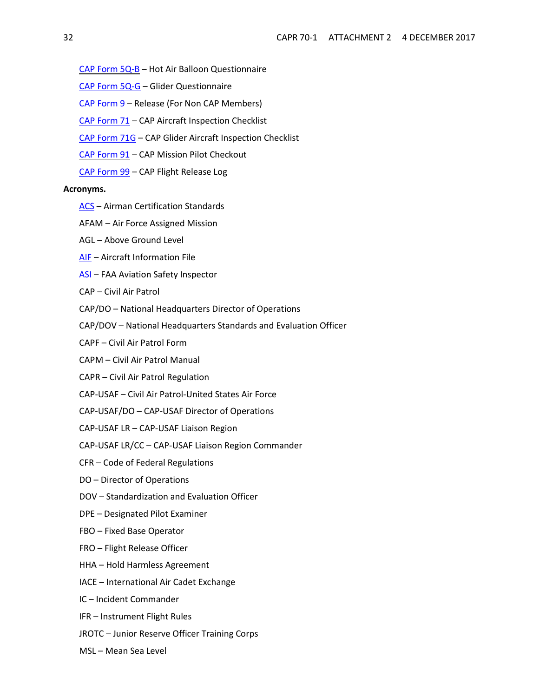- CAP [Form](https://www.capmembers.com/media/cms/F005Q_B_6259910691C4F.pdf) 5Q-B Hot Air Balloon Questionnaire
- [CAP Form 5Q-G](https://www.capmembers.com/media/cms/F005Q_G_74F252F1381E7.pdf) Glider Questionnaire
- [CAP Form 9](https://www.capmembers.com/media/cms/F009_F33F1F93F57F0.pdf) Release (For Non CAP Members)
- [CAP Form 71](https://www.capmembers.com/media/cms/F071_484891873A9D5.pdf) CAP Aircraft Inspection Checklist
- [CAP Form 71G](https://www.capmembers.com/media/cms/F071G_60A50D23BE901.pdf) CAP Glider Aircraft Inspection Checklist
- CAP [Form](https://www.capmembers.com/media/cms/F091_449297B36A647.pdf) 91 CAP Mission Pilot Checkout
- [CAP Form 99](https://www.capmembers.com/media/cms/F099_988948C87DFCF.pdf) CAP Flight Release Log

#### **Acronyms.**

- [ACS](https://www.faa.gov/training_testing/testing/acs/) Airman Certification Standards
- AFAM Air Force Assigned Mission
- AGL Above Ground Level
- [AIF](http://www.capmembers.com/emergency_services/aircraft_ops__staneval/aif-standardized-cap-aircraft-information-file/) Aircraft Information File
- [ASI](https://www.faa.gov/jobs/career_fields/aviation_careers/media/ASI_Fact_Sheet.pdf) FAA Aviation Safety Inspector
- CAP Civil Air Patrol
- CAP/DO National Headquarters Director of Operations
- CAP/DOV National Headquarters Standards and Evaluation Officer
- CAPF Civil Air Patrol Form
- CAPM Civil Air Patrol Manual
- CAPR Civil Air Patrol Regulation
- CAP-USAF Civil Air Patrol-United States Air Force
- CAP-USAF/DO CAP-USAF Director of Operations
- CAP-USAF LR CAP-USAF Liaison Region
- CAP-USAF LR/CC CAP-USAF Liaison Region Commander
- CFR Code of Federal Regulations
- DO Director of Operations
- DOV Standardization and Evaluation Officer
- DPE Designated Pilot Examiner
- FBO Fixed Base Operator
- FRO Flight Release Officer
- HHA Hold Harmless Agreement
- IACE International Air Cadet Exchange
- IC Incident Commander
- IFR Instrument Flight Rules
- JROTC Junior Reserve Officer Training Corps
- MSL Mean Sea Level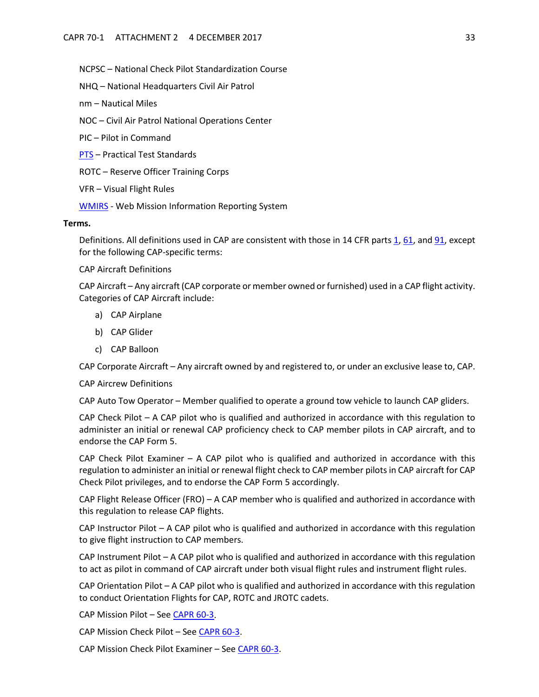NCPSC – National Check Pilot Standardization Course

NHQ – National Headquarters Civil Air Patrol

nm – Nautical Miles

NOC – Civil Air Patrol National Operations Center

PIC – Pilot in Command

[PTS](https://www.faa.gov/training_testing/testing/test_standards/) – Practical Test Standards

ROTC – Reserve Officer Training Corps

VFR – Visual Flight Rules

[WMIRS](https://www.capnhq.gov/WMIRS/Default.aspx) - Web Mission Information Reporting System

#### **Terms.**

Definitions. All definitions used in CAP are consistent with those in 14 CFR parts [1,](http://www.ecfr.gov/cgi-bin/text-idx?SID=24237543f4d6072b2facb5b1dca374c1&mc=true&node=pt14.1.1&rgn=div5) [61,](http://www.ecfr.gov/cgi-bin/text-idx?SID=24237543f4d6072b2facb5b1dca374c1&mc=true&node=pt14.2.61&rgn=div5) and [91,](http://www.ecfr.gov/cgi-bin/text-idx?SID=24237543f4d6072b2facb5b1dca374c1&mc=true&node=pt14.2.91&rgn=div5) except for the following CAP-specific terms:

CAP Aircraft Definitions

CAP Aircraft – Any aircraft (CAP corporate or member owned or furnished) used in a CAP flight activity. Categories of CAP Aircraft include:

- a) CAP Airplane
- b) CAP Glider
- c) CAP Balloon

CAP Corporate Aircraft – Any aircraft owned by and registered to, or under an exclusive lease to, CAP.

<span id="page-32-0"></span>CAP Aircrew Definitions

CAP Auto Tow Operator – Member qualified to operate a ground tow vehicle to launch CAP gliders.

CAP Check Pilot – A CAP pilot who is qualified and authorized in accordance with this regulation to administer an initial or renewal CAP proficiency check to CAP member pilots in CAP aircraft, and to endorse the CAP Form 5.

CAP Check Pilot Examiner – A CAP pilot who is qualified and authorized in accordance with this regulation to administer an initial or renewal flight check to CAP member pilots in CAP aircraft for CAP Check Pilot privileges, and to endorse the CAP Form 5 accordingly.

CAP Flight Release Officer (FRO) – A CAP member who is qualified and authorized in accordance with this regulation to release CAP flights.

CAP Instructor Pilot – A CAP pilot who is qualified and authorized in accordance with this regulation to give flight instruction to CAP members.

CAP Instrument Pilot – A CAP pilot who is qualified and authorized in accordance with this regulation to act as pilot in command of CAP aircraft under both visual flight rules and instrument flight rules.

CAP Orientation Pilot – A CAP pilot who is qualified and authorized in accordance with this regulation to conduct Orientation Flights for CAP, ROTC and JROTC cadets.

CAP Mission Pilot – Se[e CAPR 60-3.](https://www.capmembers.com/media/cms/R060_003_075A4369FBA8E.pdf)

CAP Mission Check Pilot – See [CAPR 60-3.](https://www.capmembers.com/media/cms/R060_003_075A4369FBA8E.pdf)

CAP Mission Check Pilot Examiner - See [CAPR 60-3.](https://www.capmembers.com/media/cms/R060_003_075A4369FBA8E.pdf)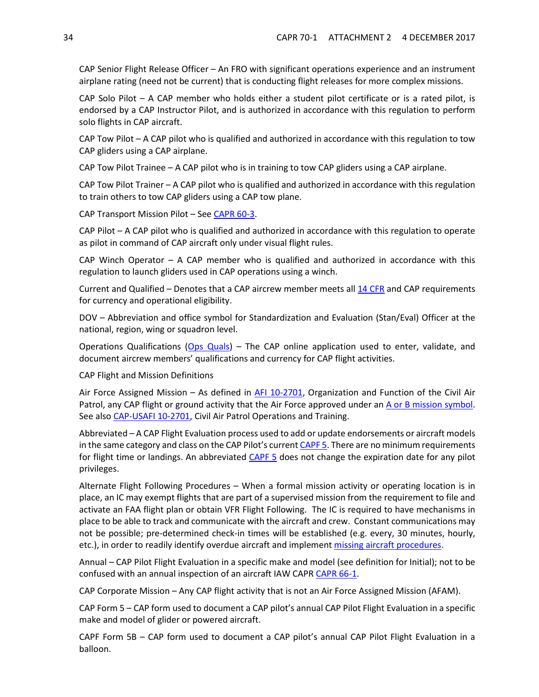CAP Senior Flight Release Officer – An FRO with significant operations experience and an instrument airplane rating (need not be current) that is conducting flight releases for more complex missions.

CAP Solo Pilot – A CAP member who holds either a student pilot certificate or is a rated pilot, is endorsed by a CAP Instructor Pilot, and is authorized in accordance with this regulation to perform solo flights in CAP aircraft.

CAP Tow Pilot – A CAP pilot who is qualified and authorized in accordance with this regulation to tow CAP gliders using a CAP airplane.

CAP Tow Pilot Trainee – A CAP pilot who is in training to tow CAP gliders using a CAP airplane.

CAP Tow Pilot Trainer – A CAP pilot who is qualified and authorized in accordance with this regulation to train others to tow CAP gliders using a CAP tow plane.

CAP Transport Mission Pilot – See [CAPR 60-3.](https://www.capmembers.com/media/cms/R060_003_075A4369FBA8E.pdf)

CAP Pilot – A CAP pilot who is qualified and authorized in accordance with this regulation to operate as pilot in command of CAP aircraft only under visual flight rules.

CAP Winch Operator  $-$  A CAP member who is qualified and authorized in accordance with this regulation to launch gliders used in CAP operations using a winch.

Current and Qualified – Denotes that a CAP aircrew member meets all [14 CFR](http://www.ecfr.gov/cgi-bin/text-idx?c=ecfr&tpl=/ecfrbrowse/Title14/14tab_02.tpl) and CAP requirements for currency and operational eligibility.

DOV – Abbreviation and office symbol for Standardization and Evaluation (Stan/Eval) Officer at the national, region, wing or squadron level.

Operations Qualifications [\(Ops Quals\)](https://www.capnhq.gov/CAP.OPSQuals.Web/Default.aspx) – The CAP online application used to enter, validate, and document aircrew members' qualifications and currency for CAP flight activities.

CAP Flight and Mission Definitions

Air Force Assigned Mission – As defined in [AFI 10-2701,](https://www.capmembers.com/media/cms/AFI_102701_31_Jul_14_0475E646C469F.pdf) Organization and Function of the Civil Air Patrol, any CAP flight or ground activity that the Air Force approved under an [A or B mission symbol.](https://www.capmembers.com/media/cms/07_AIF_FLT_LOG_2_A285ACB8477D5.pdf) See also [CAP-USAFI 10-2701,](http://www.capmembers.com/media/cms/CAP_USAFI_10_2701.pdf) Civil Air Patrol Operations and Training.

Abbreviated – A CAP Flight Evaluation process used to add or update endorsements or aircraft models in the same category and class on the CAP Pilot's current [CAPF 5.](https://www.capmembers.com/media/cms/F005_307D79BCBF52D.pdf) There are no minimum requirements for flight time or landings. An abbreviated [CAPF 5](https://www.capmembers.com/media/cms/F005_307D79BCBF52D.pdf) does not change the expiration date for any pilot privileges.

Alternate Flight Following Procedures – When a formal mission activity or operating location is in place, an IC may exempt flights that are part of a supervised mission from the requirement to file and activate an FAA flight plan or obtain VFR Flight Following. The IC is required to have mechanisms in place to be able to track and communicate with the aircraft and crew. Constant communications may not be possible; pre-determined check-in times will be established (e.g. every, 30 minutes, hourly, etc.), in order to readily identify overdue aircraft and implemen[t missing aircraft procedures.](https://www.capmembers.com/media/cms/MISSING_AIRCRAFT_PROCEDURES_31CE592FEA094.pdf)

Annual – CAP Pilot Flight Evaluation in a specific make and model (see definition for Initial); not to be confused with an annual inspection of an aircraft IAW CAPR [CAPR 66-1.](https://www.capmembers.com/media/cms/R066_001_8067887A28C8C.pdf)

CAP Corporate Mission – Any CAP flight activity that is not an Air Force Assigned Mission (AFAM).

CAP Form 5 – CAP form used to document a CAP pilot's annual CAP Pilot Flight Evaluation in a specific make and model of glider or powered aircraft.

CAPF Form 5B – CAP form used to document a CAP pilot's annual CAP Pilot Flight Evaluation in a balloon.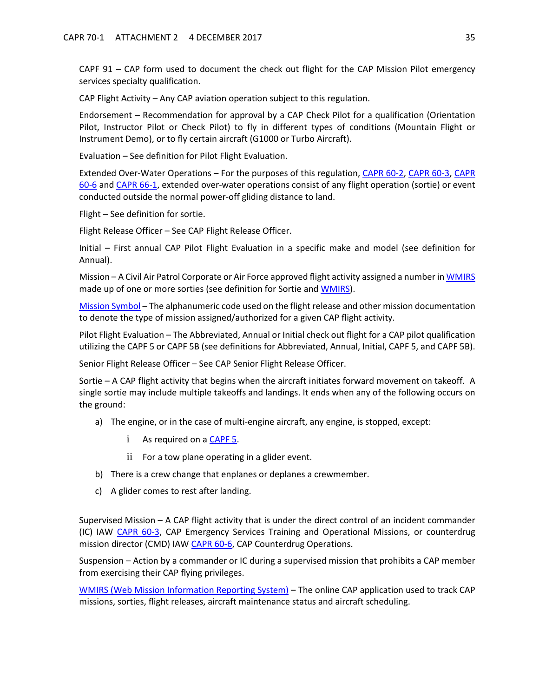CAPF 91 – CAP form used to document the check out flight for the CAP Mission Pilot emergency services specialty qualification.

CAP Flight Activity – Any CAP aviation operation subject to this regulation.

Endorsement – Recommendation for approval by a CAP Check Pilot for a qualification (Orientation Pilot, Instructor Pilot or Check Pilot) to fly in different types of conditions (Mountain Flight or Instrument Demo), or to fly certain aircraft (G1000 or Turbo Aircraft).

Evaluation – See definition for Pilot Flight Evaluation.

Extended Over-Water Operations - For the purposes of this regulation, [CAPR 60-2,](https://www.capmembers.com/media/cms/R060_002_5503A63D8D4D5.pdf) [CAPR 60-3,](https://www.capmembers.com/media/cms/R060_003_075A4369FBA8E.pdf) CAPR [60-6](https://www.capmembers.com/media/cms/R060_006_1A37BA71043C2.pdf) and [CAPR 66-1,](https://www.capmembers.com/media/cms/R066_001_8067887A28C8C.pdf) extended over-water operations consist of any flight operation (sortie) or event conducted outside the normal power-off gliding distance to land.

Flight – See definition for sortie.

Flight Release Officer – See CAP Flight Release Officer.

Initial – First annual CAP Pilot Flight Evaluation in a specific make and model (see definition for Annual).

Mission – A Civil Air Patrol Corporate or Air Force approved flight activity assigned a number i[n WMIRS](https://www.capnhq.gov/WMIRS/Default.aspx) made up of one or more sorties (see definition for Sortie an[d WMIRS\)](https://www.capnhq.gov/WMIRS/Default.aspx).

[Mission Symbol –](https://www.capmembers.com/media/cms/07_AIF_FLT_LOG_2_A285ACB8477D5.pdf) The alphanumeric code used on the flight release and other mission documentation to denote the type of mission assigned/authorized for a given CAP flight activity.

Pilot Flight Evaluation – The Abbreviated, Annual or Initial check out flight for a CAP pilot qualification utilizing the CAPF 5 or CAPF 5B (see definitions for Abbreviated, Annual, Initial, CAPF 5, and CAPF 5B).

Senior Flight Release Officer – See CAP Senior Flight Release Officer.

Sortie – A CAP flight activity that begins when the aircraft initiates forward movement on takeoff. A single sortie may include multiple takeoffs and landings. It ends when any of the following occurs on the ground:

- a) The engine, or in the case of multi-engine aircraft, any engine, is stopped, except:
	- i As required on a [CAPF 5.](https://www.capmembers.com/media/cms/F005_307D79BCBF52D.pdf)
	- ii For a tow plane operating in a glider event.
- b) There is a crew change that enplanes or deplanes a crewmember.
- c) A glider comes to rest after landing.

Supervised Mission – A CAP flight activity that is under the direct control of an incident commander (IC) IAW [CAPR 60-3,](https://www.capmembers.com/media/cms/R060_003_075A4369FBA8E.pdf) CAP Emergency Services Training and Operational Missions, or counterdrug mission director (CMD) IAW [CAPR 60-6,](https://www.capmembers.com/media/cms/R060_006_1A37BA71043C2.pdf) CAP Counterdrug Operations.

Suspension – Action by a commander or IC during a supervised mission that prohibits a CAP member from exercising their CAP flying privileges.

[WMIRS \(Web Mission Information Reporting System\)](https://www.capnhq.gov/WMIRS/Default.aspx) – The online CAP application used to track CAP missions, sorties, flight releases, aircraft maintenance status and aircraft scheduling.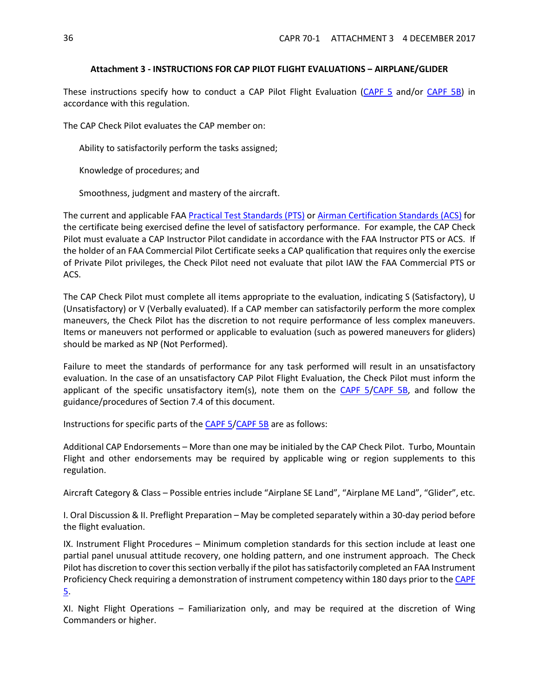# **Attachment 3 - INSTRUCTIONS FOR CAP PILOT FLIGHT EVALUATIONS ‒ AIRPLANE/GLIDER**

<span id="page-35-0"></span>These instructions specify how to conduct a CAP Pilot Flight Evaluation [\(CAPF 5](https://www.capmembers.com/media/cms/F005_307D79BCBF52D.pdf) and/or [CAPF 5B\)](https://www.capmembers.com/media/cms/F005B_802478EE09D2A.pdf) in accordance with this regulation.

The CAP Check Pilot evaluates the CAP member on:

Ability to satisfactorily perform the tasks assigned;

Knowledge of procedures; and

Smoothness, judgment and mastery of the aircraft.

The current and applicable FAA [Practical Test Standards \(PTS\)](https://www.faa.gov/training_testing/testing/test_standards/) or [Airman Certification Standards](https://www.faa.gov/training_testing/testing/acs/) (ACS) for the certificate being exercised define the level of satisfactory performance. For example, the CAP Check Pilot must evaluate a CAP Instructor Pilot candidate in accordance with the FAA Instructor PTS or ACS. If the holder of an FAA Commercial Pilot Certificate seeks a CAP qualification that requires only the exercise of Private Pilot privileges, the Check Pilot need not evaluate that pilot IAW the FAA Commercial PTS or ACS.

The CAP Check Pilot must complete all items appropriate to the evaluation, indicating S (Satisfactory), U (Unsatisfactory) or V (Verbally evaluated). If a CAP member can satisfactorily perform the more complex maneuvers, the Check Pilot has the discretion to not require performance of less complex maneuvers. Items or maneuvers not performed or applicable to evaluation (such as powered maneuvers for gliders) should be marked as NP (Not Performed).

Failure to meet the standards of performance for any task performed will result in an unsatisfactory evaluation. In the case of an unsatisfactory CAP Pilot Flight Evaluation, the Check Pilot must inform the applicant of the specific unsatisfactory item(s), note them on the  $CAPF$  5/ $CAPF$  5B, and follow the guidance/procedures of Section 7.4 of this document.

Instructions for specific parts of the [CAPF 5](https://www.capmembers.com/media/cms/F005_307D79BCBF52D.pdf)[/CAPF 5B](https://www.capmembers.com/media/cms/F005B_802478EE09D2A.pdf) are as follows:

Additional CAP Endorsements – More than one may be initialed by the CAP Check Pilot. Turbo, Mountain Flight and other endorsements may be required by applicable wing or region supplements to this regulation.

Aircraft Category & Class – Possible entries include "Airplane SE Land", "Airplane ME Land", "Glider", etc.

I. Oral Discussion & II. Preflight Preparation – May be completed separately within a 30-day period before the flight evaluation.

IX. Instrument Flight Procedures – Minimum completion standards for this section include at least one partial panel unusual attitude recovery, one holding pattern, and one instrument approach. The Check Pilot has discretion to cover this section verbally if the pilot has satisfactorily completed an FAA Instrument Proficiency Check requiring a demonstration of instrument competency within 180 days prior to the CAPF [5.](https://www.capmembers.com/media/cms/F005_307D79BCBF52D.pdf)

XI. Night Flight Operations – Familiarization only, and may be required at the discretion of Wing Commanders or higher.